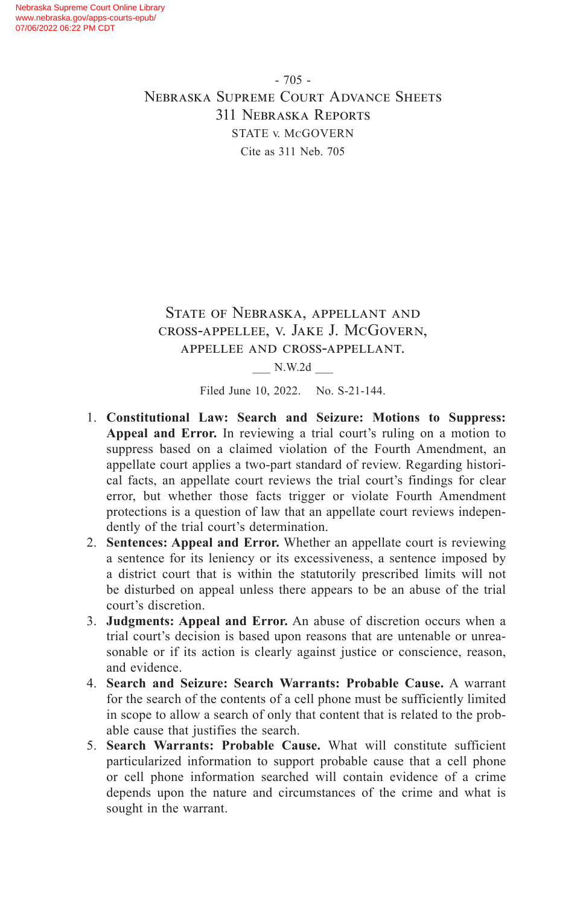- 705 - Nebraska Supreme Court Advance Sheets 311 Nebraska Reports STATE v. McGOVERN Cite as 311 Neb. 705

## State of Nebraska, appellant and cross-appellee, v. Jake J. McGovern, appellee and cross-appellant.

\_\_\_ N.W.2d \_\_\_

Filed June 10, 2022. No. S-21-144.

- 1. **Constitutional Law: Search and Seizure: Motions to Suppress: Appeal and Error.** In reviewing a trial court's ruling on a motion to suppress based on a claimed violation of the Fourth Amendment, an appellate court applies a two-part standard of review. Regarding historical facts, an appellate court reviews the trial court's findings for clear error, but whether those facts trigger or violate Fourth Amendment protections is a question of law that an appellate court reviews independently of the trial court's determination.
- 2. **Sentences: Appeal and Error.** Whether an appellate court is reviewing a sentence for its leniency or its excessiveness, a sentence imposed by a district court that is within the statutorily prescribed limits will not be disturbed on appeal unless there appears to be an abuse of the trial court's discretion.
- 3. **Judgments: Appeal and Error.** An abuse of discretion occurs when a trial court's decision is based upon reasons that are untenable or unreasonable or if its action is clearly against justice or conscience, reason, and evidence.
- 4. **Search and Seizure: Search Warrants: Probable Cause.** A warrant for the search of the contents of a cell phone must be sufficiently limited in scope to allow a search of only that content that is related to the probable cause that justifies the search.
- 5. **Search Warrants: Probable Cause.** What will constitute sufficient particularized information to support probable cause that a cell phone or cell phone information searched will contain evidence of a crime depends upon the nature and circumstances of the crime and what is sought in the warrant.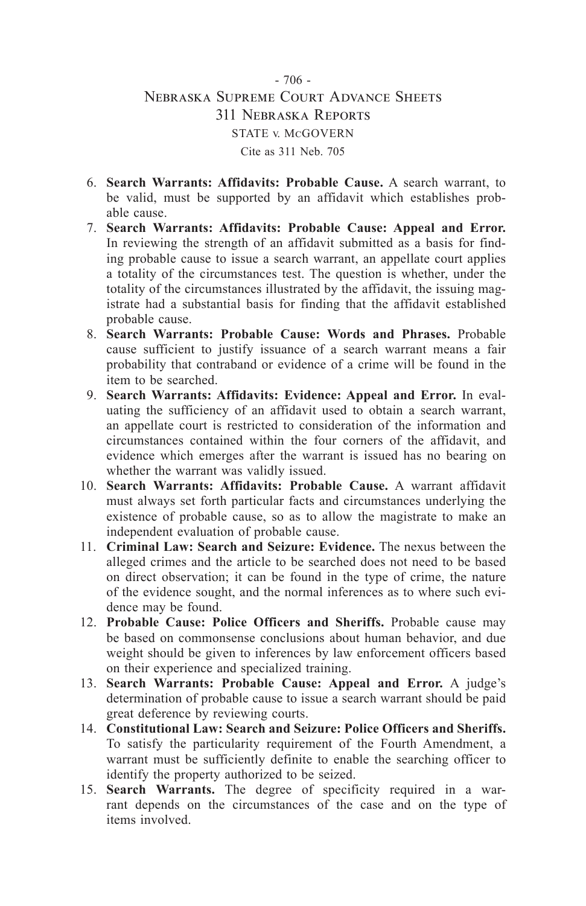## - 706 - Nebraska Supreme Court Advance Sheets 311 Nebraska Reports STATE v. McGOVERN Cite as 311 Neb. 705

- 6. **Search Warrants: Affidavits: Probable Cause.** A search warrant, to be valid, must be supported by an affidavit which establishes probable cause.
- 7. **Search Warrants: Affidavits: Probable Cause: Appeal and Error.** In reviewing the strength of an affidavit submitted as a basis for finding probable cause to issue a search warrant, an appellate court applies a totality of the circumstances test. The question is whether, under the totality of the circumstances illustrated by the affidavit, the issuing magistrate had a substantial basis for finding that the affidavit established probable cause.
- 8. **Search Warrants: Probable Cause: Words and Phrases.** Probable cause sufficient to justify issuance of a search warrant means a fair probability that contraband or evidence of a crime will be found in the item to be searched.
- 9. **Search Warrants: Affidavits: Evidence: Appeal and Error.** In evaluating the sufficiency of an affidavit used to obtain a search warrant, an appellate court is restricted to consideration of the information and circumstances contained within the four corners of the affidavit, and evidence which emerges after the warrant is issued has no bearing on whether the warrant was validly issued.
- 10. **Search Warrants: Affidavits: Probable Cause.** A warrant affidavit must always set forth particular facts and circumstances underlying the existence of probable cause, so as to allow the magistrate to make an independent evaluation of probable cause.
- 11. **Criminal Law: Search and Seizure: Evidence.** The nexus between the alleged crimes and the article to be searched does not need to be based on direct observation; it can be found in the type of crime, the nature of the evidence sought, and the normal inferences as to where such evidence may be found.
- 12. **Probable Cause: Police Officers and Sheriffs.** Probable cause may be based on commonsense conclusions about human behavior, and due weight should be given to inferences by law enforcement officers based on their experience and specialized training.
- 13. **Search Warrants: Probable Cause: Appeal and Error.** A judge's determination of probable cause to issue a search warrant should be paid great deference by reviewing courts.
- 14. **Constitutional Law: Search and Seizure: Police Officers and Sheriffs.** To satisfy the particularity requirement of the Fourth Amendment, a warrant must be sufficiently definite to enable the searching officer to identify the property authorized to be seized.
- 15. **Search Warrants.** The degree of specificity required in a warrant depends on the circumstances of the case and on the type of items involved.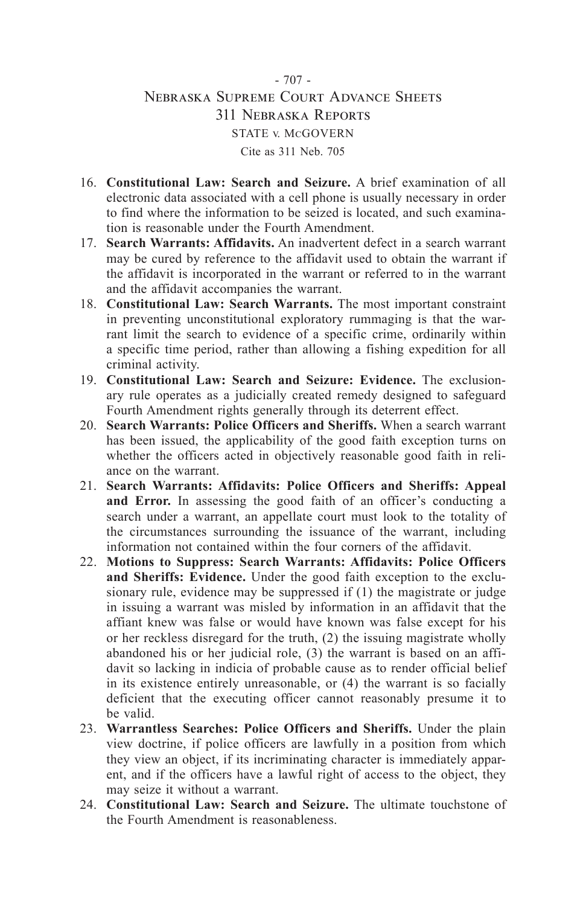# - 707 - Nebraska Supreme Court Advance Sheets 311 Nebraska Reports STATE v. McGOVERN Cite as 311 Neb. 705

- 16. **Constitutional Law: Search and Seizure.** A brief examination of all electronic data associated with a cell phone is usually necessary in order to find where the information to be seized is located, and such examination is reasonable under the Fourth Amendment.
- 17. **Search Warrants: Affidavits.** An inadvertent defect in a search warrant may be cured by reference to the affidavit used to obtain the warrant if the affidavit is incorporated in the warrant or referred to in the warrant and the affidavit accompanies the warrant.
- 18. **Constitutional Law: Search Warrants.** The most important constraint in preventing unconstitutional exploratory rummaging is that the warrant limit the search to evidence of a specific crime, ordinarily within a specific time period, rather than allowing a fishing expedition for all criminal activity.
- 19. **Constitutional Law: Search and Seizure: Evidence.** The exclusionary rule operates as a judicially created remedy designed to safeguard Fourth Amendment rights generally through its deterrent effect.
- 20. **Search Warrants: Police Officers and Sheriffs.** When a search warrant has been issued, the applicability of the good faith exception turns on whether the officers acted in objectively reasonable good faith in reliance on the warrant.
- 21. **Search Warrants: Affidavits: Police Officers and Sheriffs: Appeal and Error.** In assessing the good faith of an officer's conducting a search under a warrant, an appellate court must look to the totality of the circumstances surrounding the issuance of the warrant, including information not contained within the four corners of the affidavit.
- 22. **Motions to Suppress: Search Warrants: Affidavits: Police Officers and Sheriffs: Evidence.** Under the good faith exception to the exclusionary rule, evidence may be suppressed if (1) the magistrate or judge in issuing a warrant was misled by information in an affidavit that the affiant knew was false or would have known was false except for his or her reckless disregard for the truth, (2) the issuing magistrate wholly abandoned his or her judicial role, (3) the warrant is based on an affidavit so lacking in indicia of probable cause as to render official belief in its existence entirely unreasonable, or (4) the warrant is so facially deficient that the executing officer cannot reasonably presume it to be valid.
- 23. **Warrantless Searches: Police Officers and Sheriffs.** Under the plain view doctrine, if police officers are lawfully in a position from which they view an object, if its incriminating character is immediately apparent, and if the officers have a lawful right of access to the object, they may seize it without a warrant.
- 24. **Constitutional Law: Search and Seizure.** The ultimate touchstone of the Fourth Amendment is reasonableness.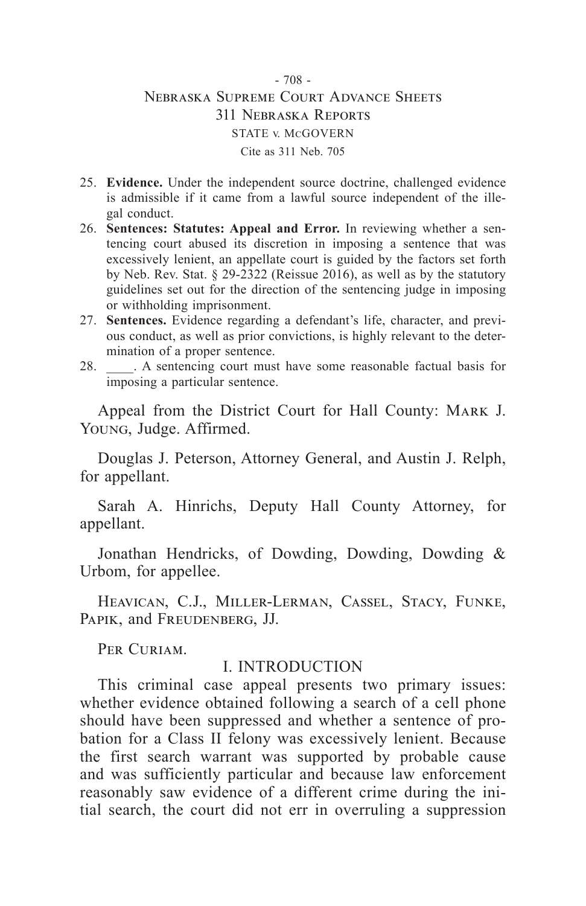## - 708 - Nebraska Supreme Court Advance Sheets 311 Nebraska Reports STATE v. McGOVERN Cite as 311 Neb. 705

- 25. **Evidence.** Under the independent source doctrine, challenged evidence is admissible if it came from a lawful source independent of the illegal conduct.
- 26. **Sentences: Statutes: Appeal and Error.** In reviewing whether a sentencing court abused its discretion in imposing a sentence that was excessively lenient, an appellate court is guided by the factors set forth by Neb. Rev. Stat. § 29-2322 (Reissue 2016), as well as by the statutory guidelines set out for the direction of the sentencing judge in imposing or withholding imprisonment.
- 27. **Sentences.** Evidence regarding a defendant's life, character, and previous conduct, as well as prior convictions, is highly relevant to the determination of a proper sentence.
- 28. \_\_\_\_. A sentencing court must have some reasonable factual basis for imposing a particular sentence.

Appeal from the District Court for Hall County: MARK J. Young, Judge. Affirmed.

Douglas J. Peterson, Attorney General, and Austin J. Relph, for appellant.

Sarah A. Hinrichs, Deputy Hall County Attorney, for appellant.

Jonathan Hendricks, of Dowding, Dowding, Dowding & Urbom, for appellee.

Heavican, C.J., Miller-Lerman, Cassel, Stacy, Funke, Papik, and Freudenberg, JJ.

PER CURIAM.

#### I. INTRODUCTION

This criminal case appeal presents two primary issues: whether evidence obtained following a search of a cell phone should have been suppressed and whether a sentence of probation for a Class II felony was excessively lenient. Because the first search warrant was supported by probable cause and was sufficiently particular and because law enforcement reasonably saw evidence of a different crime during the initial search, the court did not err in overruling a suppression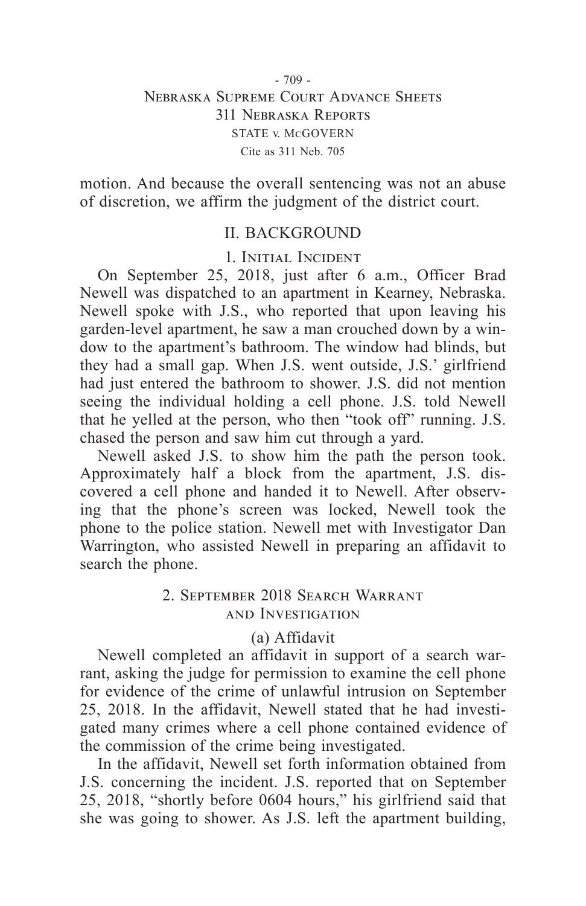## - 709 - Nebraska Supreme Court Advance Sheets 311 Nebraska Reports STATE v. McGOVERN Cite as 311 Neb. 705

motion. And because the overall sentencing was not an abuse of discretion, we affirm the judgment of the district court.

# II. BACKGROUND

1. Initial Incident

On September 25, 2018, just after 6 a.m., Officer Brad Newell was dispatched to an apartment in Kearney, Nebraska. Newell spoke with J.S., who reported that upon leaving his garden-level apartment, he saw a man crouched down by a window to the apartment's bathroom. The window had blinds, but they had a small gap. When J.S. went outside, J.S.' girlfriend had just entered the bathroom to shower. J.S. did not mention seeing the individual holding a cell phone. J.S. told Newell that he yelled at the person, who then "took off" running. J.S. chased the person and saw him cut through a yard.

Newell asked J.S. to show him the path the person took. Approximately half a block from the apartment, J.S. discovered a cell phone and handed it to Newell. After observing that the phone's screen was locked, Newell took the phone to the police station. Newell met with Investigator Dan Warrington, who assisted Newell in preparing an affidavit to search the phone.

## 2. September 2018 Search Warrant and Investigation

## (a) Affidavit

Newell completed an affidavit in support of a search warrant, asking the judge for permission to examine the cell phone for evidence of the crime of unlawful intrusion on September 25, 2018. In the affidavit, Newell stated that he had investigated many crimes where a cell phone contained evidence of the commission of the crime being investigated.

In the affidavit, Newell set forth information obtained from J.S. concerning the incident. J.S. reported that on September 25, 2018, "shortly before 0604 hours," his girlfriend said that she was going to shower. As J.S. left the apartment building,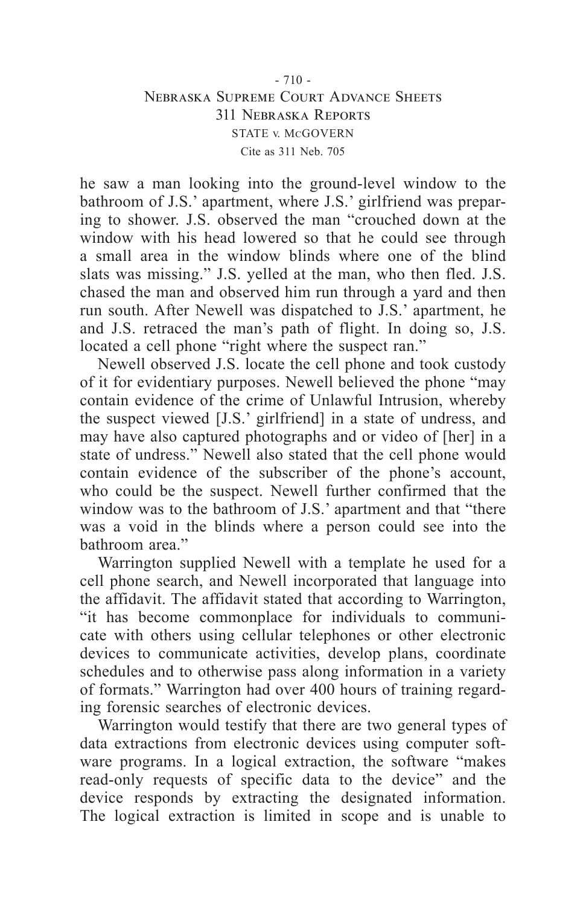### $-710 -$ Nebraska Supreme Court Advance Sheets 311 Nebraska Reports STATE v. McGOVERN Cite as 311 Neb. 705

he saw a man looking into the ground-level window to the bathroom of J.S.' apartment, where J.S.' girlfriend was preparing to shower. J.S. observed the man "crouched down at the window with his head lowered so that he could see through a small area in the window blinds where one of the blind slats was missing." J.S. yelled at the man, who then fled. J.S. chased the man and observed him run through a yard and then run south. After Newell was dispatched to J.S.' apartment, he and J.S. retraced the man's path of flight. In doing so, J.S. located a cell phone "right where the suspect ran."

Newell observed J.S. locate the cell phone and took custody of it for evidentiary purposes. Newell believed the phone "may contain evidence of the crime of Unlawful Intrusion, whereby the suspect viewed [J.S.' girlfriend] in a state of undress, and may have also captured photographs and or video of [her] in a state of undress." Newell also stated that the cell phone would contain evidence of the subscriber of the phone's account, who could be the suspect. Newell further confirmed that the window was to the bathroom of J.S.' apartment and that "there was a void in the blinds where a person could see into the bathroom area."

Warrington supplied Newell with a template he used for a cell phone search, and Newell incorporated that language into the affidavit. The affidavit stated that according to Warrington, "it has become commonplace for individuals to communicate with others using cellular telephones or other electronic devices to communicate activities, develop plans, coordinate schedules and to otherwise pass along information in a variety of formats." Warrington had over 400 hours of training regarding forensic searches of electronic devices.

Warrington would testify that there are two general types of data extractions from electronic devices using computer software programs. In a logical extraction, the software "makes read-only requests of specific data to the device" and the device responds by extracting the designated information. The logical extraction is limited in scope and is unable to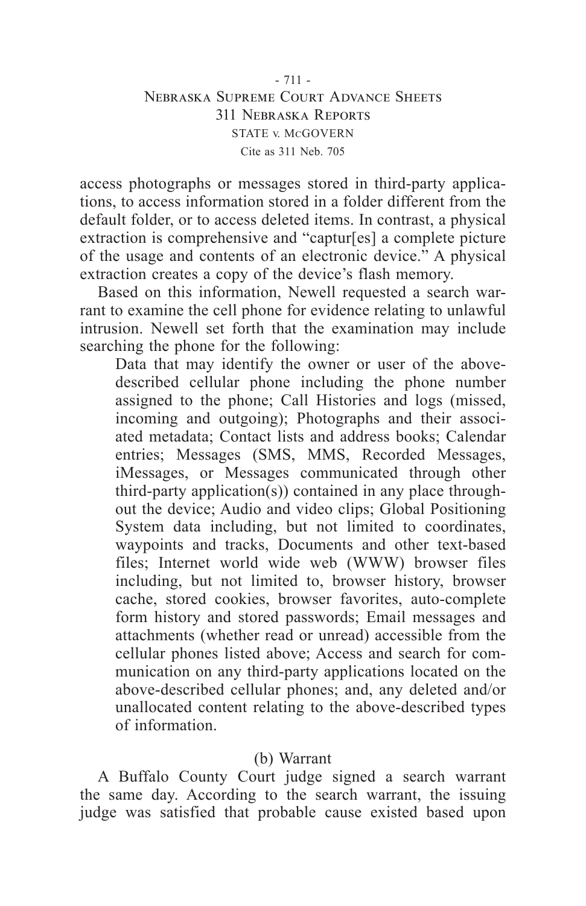- 711 - Nebraska Supreme Court Advance Sheets 311 Nebraska Reports STATE v. McGOVERN Cite as 311 Neb. 705

access photographs or messages stored in third-party applications, to access information stored in a folder different from the default folder, or to access deleted items. In contrast, a physical extraction is comprehensive and "captur[es] a complete picture of the usage and contents of an electronic device." A physical extraction creates a copy of the device's flash memory.

Based on this information, Newell requested a search warrant to examine the cell phone for evidence relating to unlawful intrusion. Newell set forth that the examination may include searching the phone for the following:

Data that may identify the owner or user of the abovedescribed cellular phone including the phone number assigned to the phone; Call Histories and logs (missed, incoming and outgoing); Photographs and their associated metadata; Contact lists and address books; Calendar entries; Messages (SMS, MMS, Recorded Messages, iMessages, or Messages communicated through other third-party application(s)) contained in any place throughout the device; Audio and video clips; Global Positioning System data including, but not limited to coordinates, waypoints and tracks, Documents and other text-based files; Internet world wide web (WWW) browser files including, but not limited to, browser history, browser cache, stored cookies, browser favorites, auto-complete form history and stored passwords; Email messages and attachments (whether read or unread) accessible from the cellular phones listed above; Access and search for communication on any third-party applications located on the above-described cellular phones; and, any deleted and/or unallocated content relating to the above-described types of information.

## (b) Warrant

A Buffalo County Court judge signed a search warrant the same day. According to the search warrant, the issuing judge was satisfied that probable cause existed based upon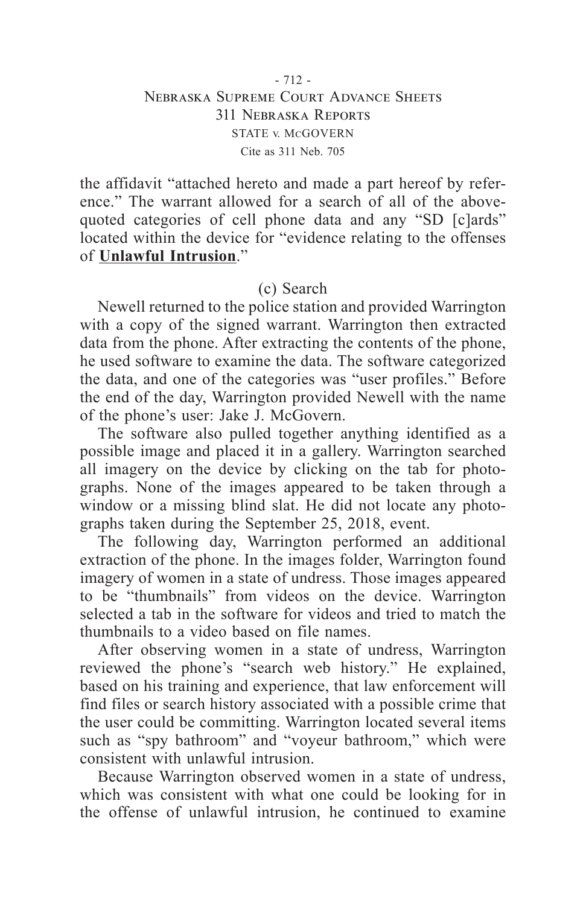### $-712 -$ Nebraska Supreme Court Advance Sheets 311 Nebraska Reports STATE v. McGOVERN Cite as 311 Neb. 705

the affidavit "attached hereto and made a part hereof by reference." The warrant allowed for a search of all of the abovequoted categories of cell phone data and any "SD [c]ards" located within the device for "evidence relating to the offenses of **Unlawful Intrusion**."

## (c) Search

Newell returned to the police station and provided Warrington with a copy of the signed warrant. Warrington then extracted data from the phone. After extracting the contents of the phone, he used software to examine the data. The software categorized the data, and one of the categories was "user profiles." Before the end of the day, Warrington provided Newell with the name of the phone's user: Jake J. McGovern.

The software also pulled together anything identified as a possible image and placed it in a gallery. Warrington searched all imagery on the device by clicking on the tab for photographs. None of the images appeared to be taken through a window or a missing blind slat. He did not locate any photographs taken during the September 25, 2018, event.

The following day, Warrington performed an additional extraction of the phone. In the images folder, Warrington found imagery of women in a state of undress. Those images appeared to be "thumbnails" from videos on the device. Warrington selected a tab in the software for videos and tried to match the thumbnails to a video based on file names.

After observing women in a state of undress, Warrington reviewed the phone's "search web history." He explained, based on his training and experience, that law enforcement will find files or search history associated with a possible crime that the user could be committing. Warrington located several items such as "spy bathroom" and "voyeur bathroom," which were consistent with unlawful intrusion.

Because Warrington observed women in a state of undress, which was consistent with what one could be looking for in the offense of unlawful intrusion, he continued to examine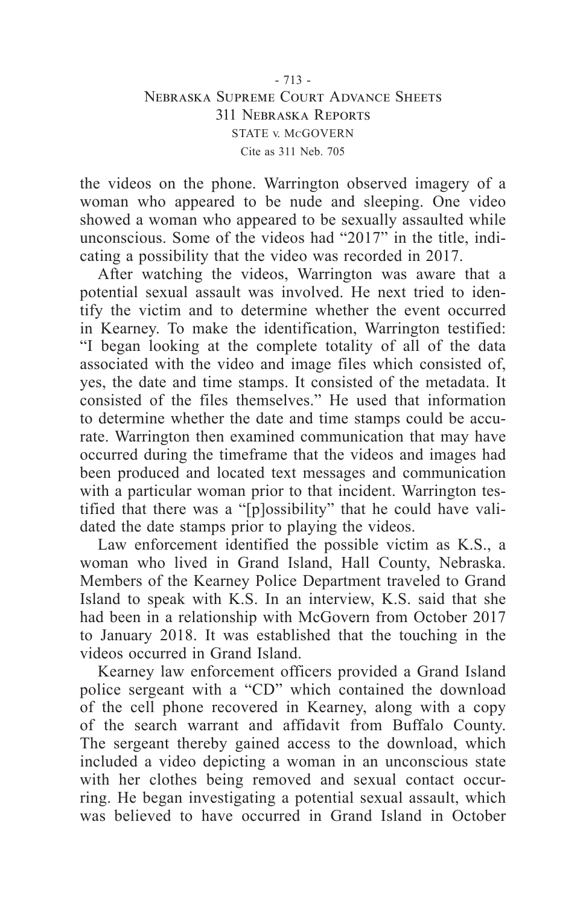## - 713 - Nebraska Supreme Court Advance Sheets 311 Nebraska Reports STATE v. McGOVERN Cite as 311 Neb. 705

the videos on the phone. Warrington observed imagery of a woman who appeared to be nude and sleeping. One video showed a woman who appeared to be sexually assaulted while unconscious. Some of the videos had "2017" in the title, indicating a possibility that the video was recorded in 2017.

After watching the videos, Warrington was aware that a potential sexual assault was involved. He next tried to identify the victim and to determine whether the event occurred in Kearney. To make the identification, Warrington testified: "I began looking at the complete totality of all of the data associated with the video and image files which consisted of, yes, the date and time stamps. It consisted of the metadata. It consisted of the files themselves." He used that information to determine whether the date and time stamps could be accurate. Warrington then examined communication that may have occurred during the timeframe that the videos and images had been produced and located text messages and communication with a particular woman prior to that incident. Warrington testified that there was a "[p]ossibility" that he could have validated the date stamps prior to playing the videos.

Law enforcement identified the possible victim as K.S., a woman who lived in Grand Island, Hall County, Nebraska. Members of the Kearney Police Department traveled to Grand Island to speak with K.S. In an interview, K.S. said that she had been in a relationship with McGovern from October 2017 to January 2018. It was established that the touching in the videos occurred in Grand Island.

Kearney law enforcement officers provided a Grand Island police sergeant with a "CD" which contained the download of the cell phone recovered in Kearney, along with a copy of the search warrant and affidavit from Buffalo County. The sergeant thereby gained access to the download, which included a video depicting a woman in an unconscious state with her clothes being removed and sexual contact occurring. He began investigating a potential sexual assault, which was believed to have occurred in Grand Island in October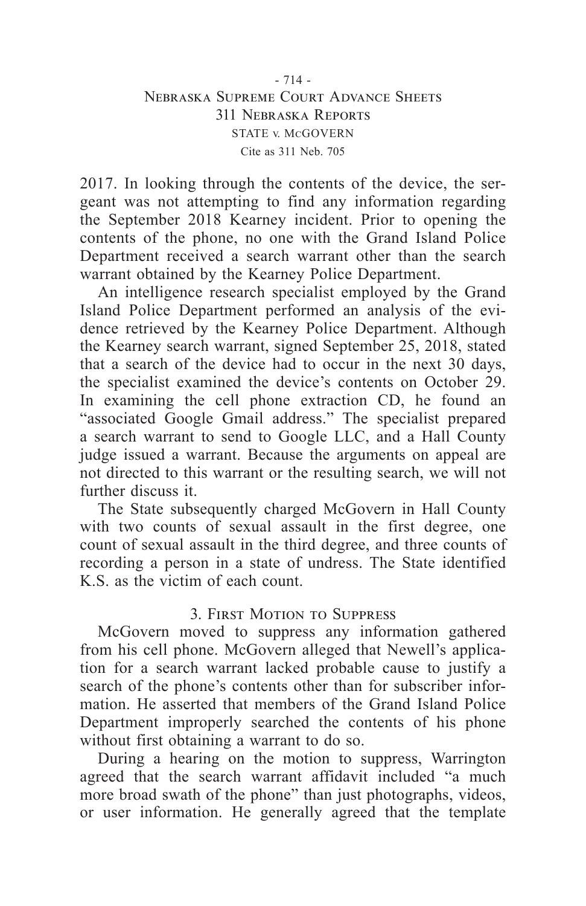## - 714 - Nebraska Supreme Court Advance Sheets 311 Nebraska Reports STATE v. McGOVERN Cite as 311 Neb. 705

2017. In looking through the contents of the device, the sergeant was not attempting to find any information regarding the September 2018 Kearney incident. Prior to opening the contents of the phone, no one with the Grand Island Police Department received a search warrant other than the search warrant obtained by the Kearney Police Department.

An intelligence research specialist employed by the Grand Island Police Department performed an analysis of the evidence retrieved by the Kearney Police Department. Although the Kearney search warrant, signed September 25, 2018, stated that a search of the device had to occur in the next 30 days, the specialist examined the device's contents on October 29. In examining the cell phone extraction CD, he found an "associated Google Gmail address." The specialist prepared a search warrant to send to Google LLC, and a Hall County judge issued a warrant. Because the arguments on appeal are not directed to this warrant or the resulting search, we will not further discuss it.

The State subsequently charged McGovern in Hall County with two counts of sexual assault in the first degree, one count of sexual assault in the third degree, and three counts of recording a person in a state of undress. The State identified K.S. as the victim of each count.

## 3. First Motion to Suppress

McGovern moved to suppress any information gathered from his cell phone. McGovern alleged that Newell's application for a search warrant lacked probable cause to justify a search of the phone's contents other than for subscriber information. He asserted that members of the Grand Island Police Department improperly searched the contents of his phone without first obtaining a warrant to do so.

During a hearing on the motion to suppress, Warrington agreed that the search warrant affidavit included "a much more broad swath of the phone" than just photographs, videos, or user information. He generally agreed that the template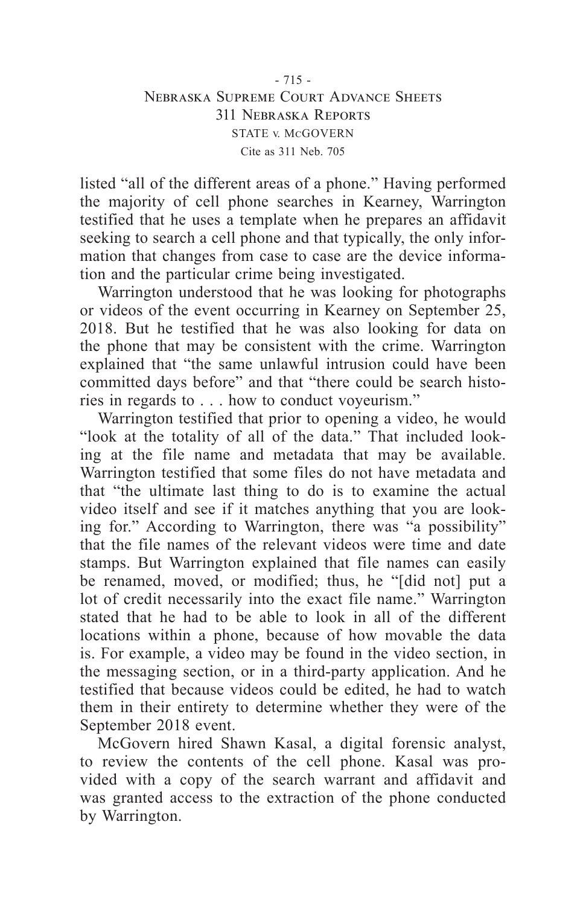### - 715 - Nebraska Supreme Court Advance Sheets 311 Nebraska Reports STATE v. McGOVERN Cite as 311 Neb. 705

listed "all of the different areas of a phone." Having performed the majority of cell phone searches in Kearney, Warrington testified that he uses a template when he prepares an affidavit seeking to search a cell phone and that typically, the only information that changes from case to case are the device information and the particular crime being investigated.

Warrington understood that he was looking for photographs or videos of the event occurring in Kearney on September 25, 2018. But he testified that he was also looking for data on the phone that may be consistent with the crime. Warrington explained that "the same unlawful intrusion could have been committed days before" and that "there could be search histories in regards to . . . how to conduct voyeurism."

Warrington testified that prior to opening a video, he would "look at the totality of all of the data." That included looking at the file name and metadata that may be available. Warrington testified that some files do not have metadata and that "the ultimate last thing to do is to examine the actual video itself and see if it matches anything that you are looking for." According to Warrington, there was "a possibility" that the file names of the relevant videos were time and date stamps. But Warrington explained that file names can easily be renamed, moved, or modified; thus, he "[did not] put a lot of credit necessarily into the exact file name." Warrington stated that he had to be able to look in all of the different locations within a phone, because of how movable the data is. For example, a video may be found in the video section, in the messaging section, or in a third-party application. And he testified that because videos could be edited, he had to watch them in their entirety to determine whether they were of the September 2018 event.

McGovern hired Shawn Kasal, a digital forensic analyst, to review the contents of the cell phone. Kasal was provided with a copy of the search warrant and affidavit and was granted access to the extraction of the phone conducted by Warrington.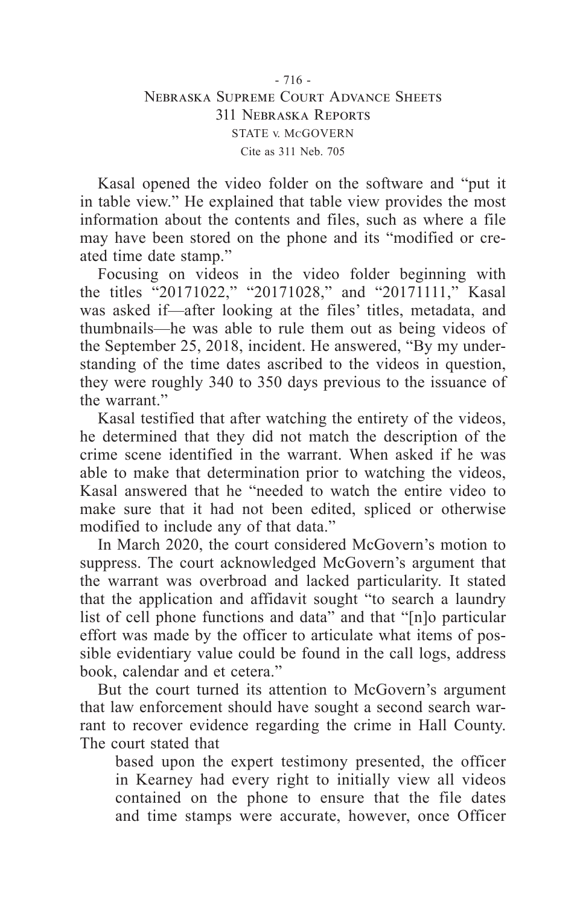Kasal opened the video folder on the software and "put it in table view." He explained that table view provides the most information about the contents and files, such as where a file may have been stored on the phone and its "modified or created time date stamp."

Focusing on videos in the video folder beginning with the titles "20171022," "20171028," and "20171111," Kasal was asked if—after looking at the files' titles, metadata, and thumbnails—he was able to rule them out as being videos of the September 25, 2018, incident. He answered, "By my understanding of the time dates ascribed to the videos in question, they were roughly 340 to 350 days previous to the issuance of the warrant."

Kasal testified that after watching the entirety of the videos, he determined that they did not match the description of the crime scene identified in the warrant. When asked if he was able to make that determination prior to watching the videos, Kasal answered that he "needed to watch the entire video to make sure that it had not been edited, spliced or otherwise modified to include any of that data."

In March 2020, the court considered McGovern's motion to suppress. The court acknowledged McGovern's argument that the warrant was overbroad and lacked particularity. It stated that the application and affidavit sought "to search a laundry list of cell phone functions and data" and that "[n]o particular effort was made by the officer to articulate what items of possible evidentiary value could be found in the call logs, address book, calendar and et cetera."

But the court turned its attention to McGovern's argument that law enforcement should have sought a second search warrant to recover evidence regarding the crime in Hall County. The court stated that

based upon the expert testimony presented, the officer in Kearney had every right to initially view all videos contained on the phone to ensure that the file dates and time stamps were accurate, however, once Officer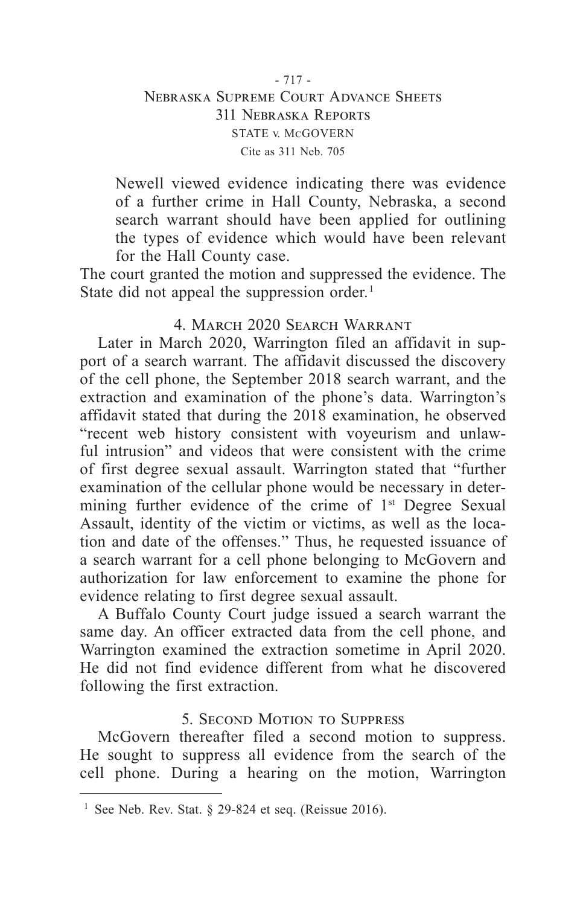## - 717 - Nebraska Supreme Court Advance Sheets 311 Nebraska Reports STATE v. McGOVERN Cite as 311 Neb. 705

Newell viewed evidence indicating there was evidence of a further crime in Hall County, Nebraska, a second search warrant should have been applied for outlining the types of evidence which would have been relevant for the Hall County case.

The court granted the motion and suppressed the evidence. The State did not appeal the suppression order.<sup>1</sup>

# 4. March 2020 Search Warrant

Later in March 2020, Warrington filed an affidavit in support of a search warrant. The affidavit discussed the discovery of the cell phone, the September 2018 search warrant, and the extraction and examination of the phone's data. Warrington's affidavit stated that during the 2018 examination, he observed "recent web history consistent with voyeurism and unlawful intrusion" and videos that were consistent with the crime of first degree sexual assault. Warrington stated that "further examination of the cellular phone would be necessary in determining further evidence of the crime of 1<sup>st</sup> Degree Sexual Assault, identity of the victim or victims, as well as the location and date of the offenses." Thus, he requested issuance of a search warrant for a cell phone belonging to McGovern and authorization for law enforcement to examine the phone for evidence relating to first degree sexual assault.

A Buffalo County Court judge issued a search warrant the same day. An officer extracted data from the cell phone, and Warrington examined the extraction sometime in April 2020. He did not find evidence different from what he discovered following the first extraction.

# 5. Second Motion to Suppress

McGovern thereafter filed a second motion to suppress. He sought to suppress all evidence from the search of the cell phone. During a hearing on the motion, Warrington

<sup>&</sup>lt;sup>1</sup> See Neb. Rev. Stat.  $\S$  29-824 et seq. (Reissue 2016).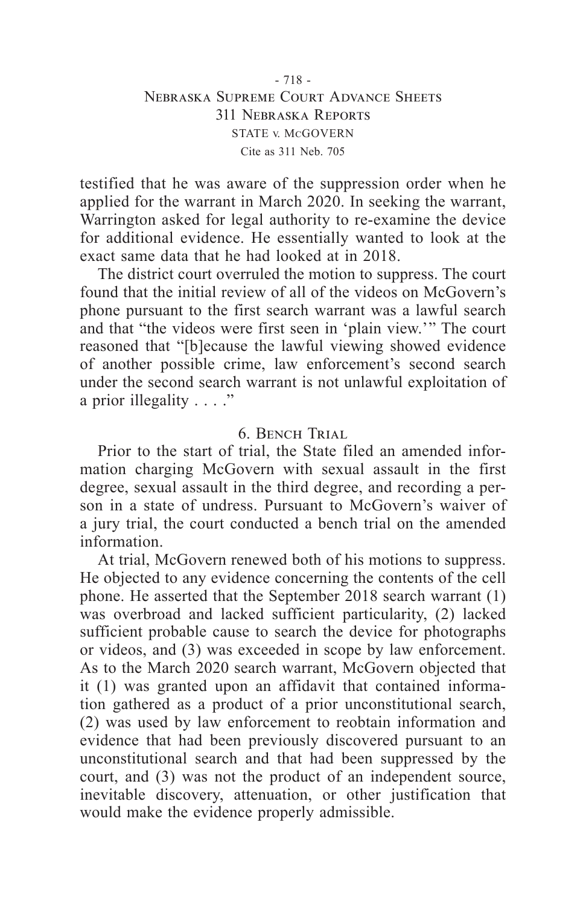### - 718 - Nebraska Supreme Court Advance Sheets 311 Nebraska Reports STATE v. McGOVERN Cite as 311 Neb. 705

testified that he was aware of the suppression order when he applied for the warrant in March 2020. In seeking the warrant, Warrington asked for legal authority to re-examine the device for additional evidence. He essentially wanted to look at the exact same data that he had looked at in 2018.

The district court overruled the motion to suppress. The court found that the initial review of all of the videos on McGovern's phone pursuant to the first search warrant was a lawful search and that "the videos were first seen in 'plain view.'" The court reasoned that "[b]ecause the lawful viewing showed evidence of another possible crime, law enforcement's second search under the second search warrant is not unlawful exploitation of a prior illegality . . . ."

## 6. Bench Trial

Prior to the start of trial, the State filed an amended information charging McGovern with sexual assault in the first degree, sexual assault in the third degree, and recording a person in a state of undress. Pursuant to McGovern's waiver of a jury trial, the court conducted a bench trial on the amended information.

At trial, McGovern renewed both of his motions to suppress. He objected to any evidence concerning the contents of the cell phone. He asserted that the September 2018 search warrant (1) was overbroad and lacked sufficient particularity, (2) lacked sufficient probable cause to search the device for photographs or videos, and (3) was exceeded in scope by law enforcement. As to the March 2020 search warrant, McGovern objected that it (1) was granted upon an affidavit that contained information gathered as a product of a prior unconstitutional search, (2) was used by law enforcement to reobtain information and evidence that had been previously discovered pursuant to an unconstitutional search and that had been suppressed by the court, and (3) was not the product of an independent source, inevitable discovery, attenuation, or other justification that would make the evidence properly admissible.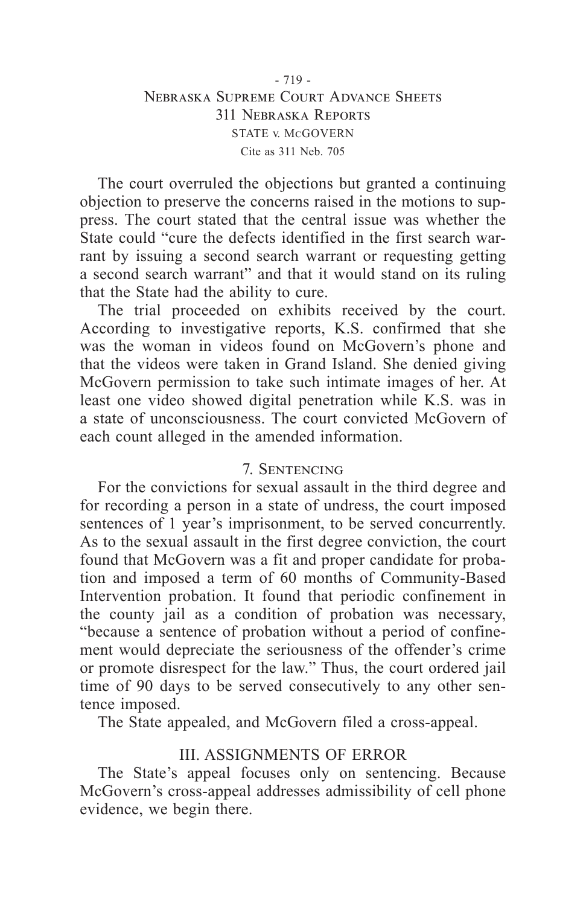## - 719 - Nebraska Supreme Court Advance Sheets 311 Nebraska Reports STATE v. McGOVERN Cite as 311 Neb. 705

The court overruled the objections but granted a continuing objection to preserve the concerns raised in the motions to suppress. The court stated that the central issue was whether the State could "cure the defects identified in the first search warrant by issuing a second search warrant or requesting getting a second search warrant" and that it would stand on its ruling that the State had the ability to cure.

The trial proceeded on exhibits received by the court. According to investigative reports, K.S. confirmed that she was the woman in videos found on McGovern's phone and that the videos were taken in Grand Island. She denied giving McGovern permission to take such intimate images of her. At least one video showed digital penetration while K.S. was in a state of unconsciousness. The court convicted McGovern of each count alleged in the amended information.

# 7. Sentencing

For the convictions for sexual assault in the third degree and for recording a person in a state of undress, the court imposed sentences of 1 year's imprisonment, to be served concurrently. As to the sexual assault in the first degree conviction, the court found that McGovern was a fit and proper candidate for probation and imposed a term of 60 months of Community-Based Intervention probation. It found that periodic confinement in the county jail as a condition of probation was necessary, "because a sentence of probation without a period of confinement would depreciate the seriousness of the offender's crime or promote disrespect for the law." Thus, the court ordered jail time of 90 days to be served consecutively to any other sentence imposed.

The State appealed, and McGovern filed a cross-appeal.

# III. ASSIGNMENTS OF ERROR

The State's appeal focuses only on sentencing. Because McGovern's cross-appeal addresses admissibility of cell phone evidence, we begin there.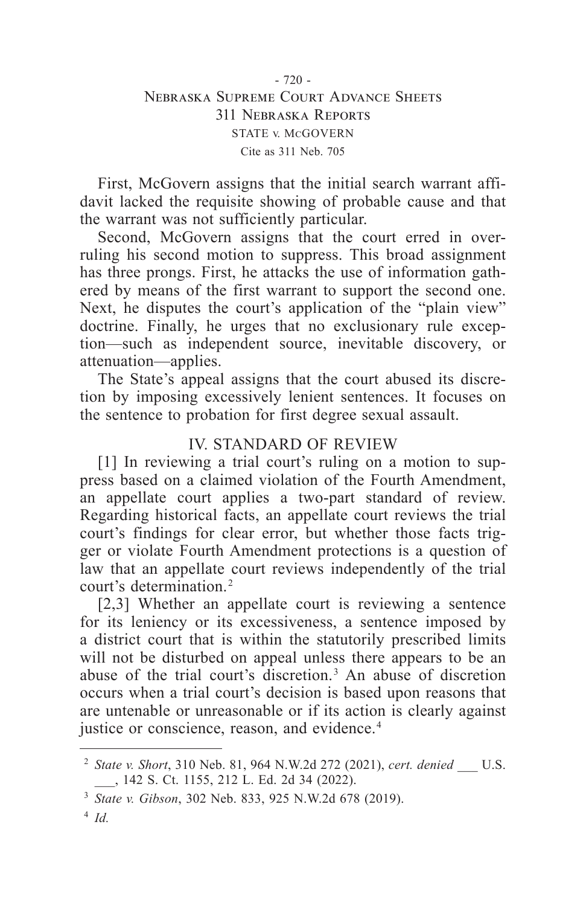## - 720 - Nebraska Supreme Court Advance Sheets 311 Nebraska Reports STATE v. McGOVERN Cite as 311 Neb. 705

First, McGovern assigns that the initial search warrant affidavit lacked the requisite showing of probable cause and that the warrant was not sufficiently particular.

Second, McGovern assigns that the court erred in overruling his second motion to suppress. This broad assignment has three prongs. First, he attacks the use of information gathered by means of the first warrant to support the second one. Next, he disputes the court's application of the "plain view" doctrine. Finally, he urges that no exclusionary rule exception—such as independent source, inevitable discovery, or attenuation—applies.

The State's appeal assigns that the court abused its discretion by imposing excessively lenient sentences. It focuses on the sentence to probation for first degree sexual assault.

# IV. STANDARD OF REVIEW

[1] In reviewing a trial court's ruling on a motion to suppress based on a claimed violation of the Fourth Amendment, an appellate court applies a two-part standard of review. Regarding historical facts, an appellate court reviews the trial court's findings for clear error, but whether those facts trigger or violate Fourth Amendment protections is a question of law that an appellate court reviews independently of the trial court's determination. 2

[2,3] Whether an appellate court is reviewing a sentence for its leniency or its excessiveness, a sentence imposed by a district court that is within the statutorily prescribed limits will not be disturbed on appeal unless there appears to be an abuse of the trial court's discretion. 3 An abuse of discretion occurs when a trial court's decision is based upon reasons that are untenable or unreasonable or if its action is clearly against justice or conscience, reason, and evidence.<sup>4</sup>

<sup>2</sup> *State v. Short*, 310 Neb. 81, 964 N.W.2d 272 (2021), *cert. denied* \_\_\_ U.S. \_\_\_, 142 S. Ct. 1155, 212 L. Ed. 2d 34 (2022).

<sup>3</sup> *State v. Gibson*, 302 Neb. 833, 925 N.W.2d 678 (2019).

<sup>4</sup> *Id.*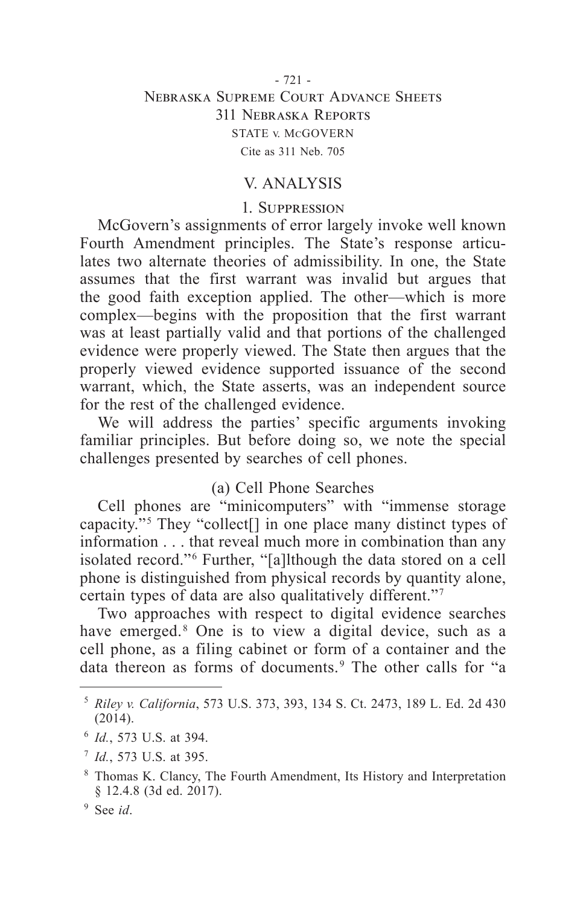## - 721 - Nebraska Supreme Court Advance Sheets 311 Nebraska Reports STATE v. McGOVERN Cite as 311 Neb. 705

## V. ANALYSIS

#### 1. Suppression

McGovern's assignments of error largely invoke well known Fourth Amendment principles. The State's response articulates two alternate theories of admissibility. In one, the State assumes that the first warrant was invalid but argues that the good faith exception applied. The other—which is more complex—begins with the proposition that the first warrant was at least partially valid and that portions of the challenged evidence were properly viewed. The State then argues that the properly viewed evidence supported issuance of the second warrant, which, the State asserts, was an independent source for the rest of the challenged evidence.

We will address the parties' specific arguments invoking familiar principles. But before doing so, we note the special challenges presented by searches of cell phones.

## (a) Cell Phone Searches

Cell phones are "minicomputers" with "immense storage capacity." 5 They "collect[] in one place many distinct types of information . . . that reveal much more in combination than any isolated record."<sup>6</sup> Further, "[a]lthough the data stored on a cell phone is distinguished from physical records by quantity alone, certain types of data are also qualitatively different." 7

Two approaches with respect to digital evidence searches have emerged.<sup>8</sup> One is to view a digital device, such as a cell phone, as a filing cabinet or form of a container and the data thereon as forms of documents. 9 The other calls for "a

<sup>5</sup> *Riley v. California*, 573 U.S. 373, 393, 134 S. Ct. 2473, 189 L. Ed. 2d 430 (2014).

<sup>6</sup> *Id.*, 573 U.S. at 394.

<sup>7</sup> *Id.*, 573 U.S. at 395.

<sup>8</sup> Thomas K. Clancy, The Fourth Amendment, Its History and Interpretation § 12.4.8 (3d ed. 2017).

<sup>9</sup> See *id*.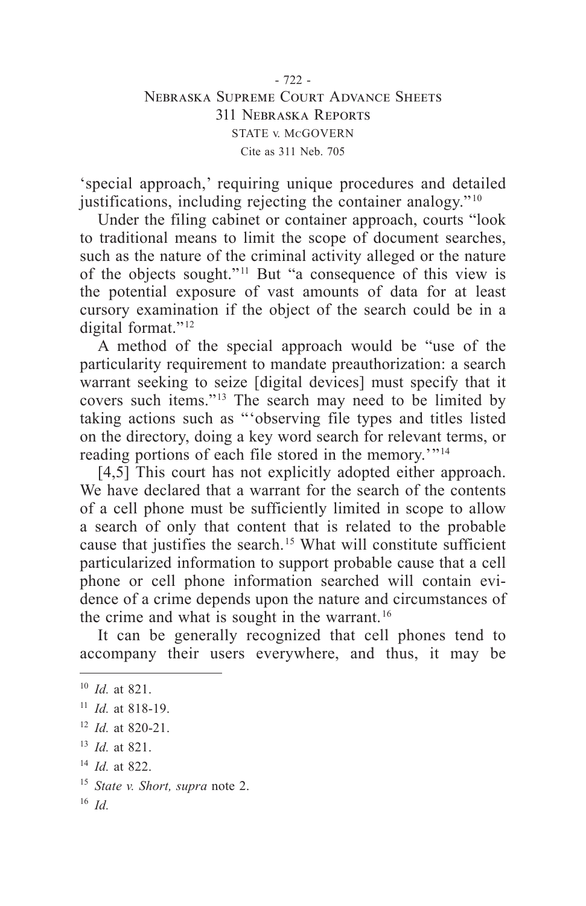## - 722 - Nebraska Supreme Court Advance Sheets 311 Nebraska Reports STATE v. McGOVERN Cite as 311 Neb. 705

'special approach,' requiring unique procedures and detailed justifications, including rejecting the container analogy." $10$ 

Under the filing cabinet or container approach, courts "look to traditional means to limit the scope of document searches, such as the nature of the criminal activity alleged or the nature of the objects sought." 11 But "a consequence of this view is the potential exposure of vast amounts of data for at least cursory examination if the object of the search could be in a digital format."<sup>12</sup>

A method of the special approach would be "use of the particularity requirement to mandate preauthorization: a search warrant seeking to seize [digital devices] must specify that it covers such items." 13 The search may need to be limited by taking actions such as "'observing file types and titles listed on the directory, doing a key word search for relevant terms, or reading portions of each file stored in the memory.'"<sup>14</sup>

[4,5] This court has not explicitly adopted either approach. We have declared that a warrant for the search of the contents of a cell phone must be sufficiently limited in scope to allow a search of only that content that is related to the probable cause that justifies the search. 15 What will constitute sufficient particularized information to support probable cause that a cell phone or cell phone information searched will contain evidence of a crime depends upon the nature and circumstances of the crime and what is sought in the warrant. 16

It can be generally recognized that cell phones tend to accompany their users everywhere, and thus, it may be

<sup>10</sup> *Id.* at 821.

<sup>11</sup> *Id.* at 818-19.

<sup>12</sup> *Id.* at 820-21.

<sup>13</sup> *Id.* at 821.

<sup>14</sup> *Id.* at 822.

<sup>15</sup> *State v. Short, supra* note 2.

<sup>16</sup> *Id.*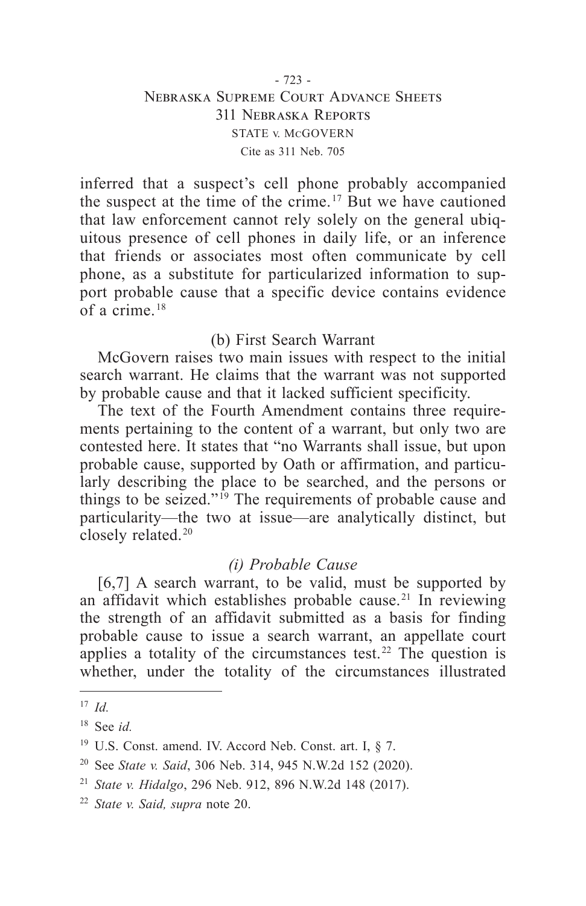## - 723 - Nebraska Supreme Court Advance Sheets 311 Nebraska Reports STATE v. McGOVERN Cite as 311 Neb. 705

inferred that a suspect's cell phone probably accompanied the suspect at the time of the crime. 17 But we have cautioned that law enforcement cannot rely solely on the general ubiquitous presence of cell phones in daily life, or an inference that friends or associates most often communicate by cell phone, as a substitute for particularized information to support probable cause that a specific device contains evidence of a crime. $18$ 

## (b) First Search Warrant

McGovern raises two main issues with respect to the initial search warrant. He claims that the warrant was not supported by probable cause and that it lacked sufficient specificity.

The text of the Fourth Amendment contains three requirements pertaining to the content of a warrant, but only two are contested here. It states that "no Warrants shall issue, but upon probable cause, supported by Oath or affirmation, and particularly describing the place to be searched, and the persons or things to be seized." 19 The requirements of probable cause and particularity—the two at issue—are analytically distinct, but closely related.<sup>20</sup>

# *(i) Probable Cause*

[6,7] A search warrant, to be valid, must be supported by an affidavit which establishes probable cause. 21 In reviewing the strength of an affidavit submitted as a basis for finding probable cause to issue a search warrant, an appellate court applies a totality of the circumstances test.<sup>22</sup> The question is whether, under the totality of the circumstances illustrated

<sup>17</sup> *Id.*

<sup>18</sup> See *id.*

<sup>&</sup>lt;sup>19</sup> U.S. Const. amend. IV. Accord Neb. Const. art. I, § 7.

<sup>20</sup> See *State v. Said*, 306 Neb. 314, 945 N.W.2d 152 (2020).

<sup>21</sup> *State v. Hidalgo*, 296 Neb. 912, 896 N.W.2d 148 (2017).

<sup>22</sup> *State v. Said, supra* note 20.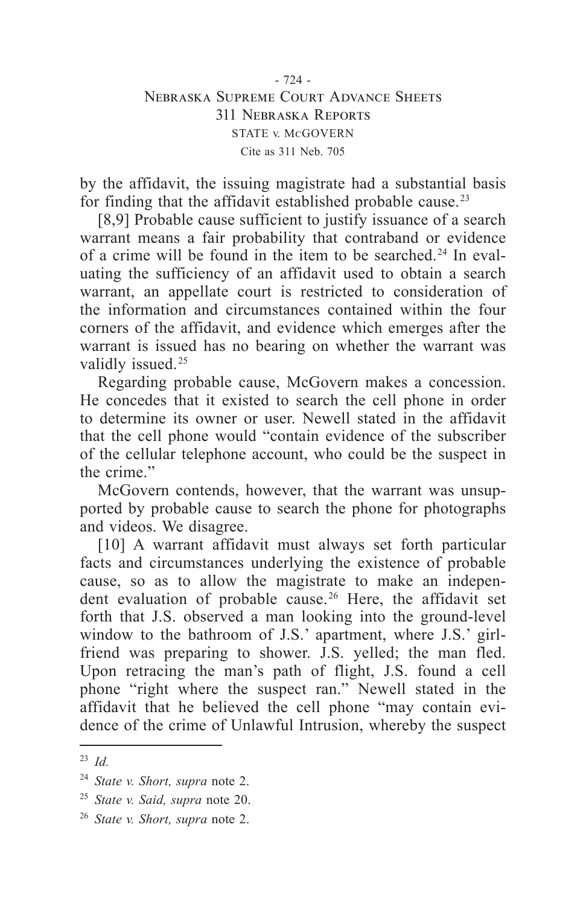## - 724 - Nebraska Supreme Court Advance Sheets 311 Nebraska Reports STATE v. McGOVERN Cite as 311 Neb. 705

by the affidavit, the issuing magistrate had a substantial basis for finding that the affidavit established probable cause. 23

[8,9] Probable cause sufficient to justify issuance of a search warrant means a fair probability that contraband or evidence of a crime will be found in the item to be searched. 24 In evaluating the sufficiency of an affidavit used to obtain a search warrant, an appellate court is restricted to consideration of the information and circumstances contained within the four corners of the affidavit, and evidence which emerges after the warrant is issued has no bearing on whether the warrant was validly issued.<sup>25</sup>

Regarding probable cause, McGovern makes a concession. He concedes that it existed to search the cell phone in order to determine its owner or user. Newell stated in the affidavit that the cell phone would "contain evidence of the subscriber of the cellular telephone account, who could be the suspect in the crime."

McGovern contends, however, that the warrant was unsupported by probable cause to search the phone for photographs and videos. We disagree.

[10] A warrant affidavit must always set forth particular facts and circumstances underlying the existence of probable cause, so as to allow the magistrate to make an independent evaluation of probable cause. 26 Here, the affidavit set forth that J.S. observed a man looking into the ground-level window to the bathroom of J.S.' apartment, where J.S.' girlfriend was preparing to shower. J.S. yelled; the man fled. Upon retracing the man's path of flight, J.S. found a cell phone "right where the suspect ran." Newell stated in the affidavit that he believed the cell phone "may contain evidence of the crime of Unlawful Intrusion, whereby the suspect

<sup>23</sup> *Id.*

<sup>24</sup> *State v. Short, supra* note 2.

<sup>25</sup> *State v. Said, supra* note 20.

<sup>26</sup> *State v. Short, supra* note 2.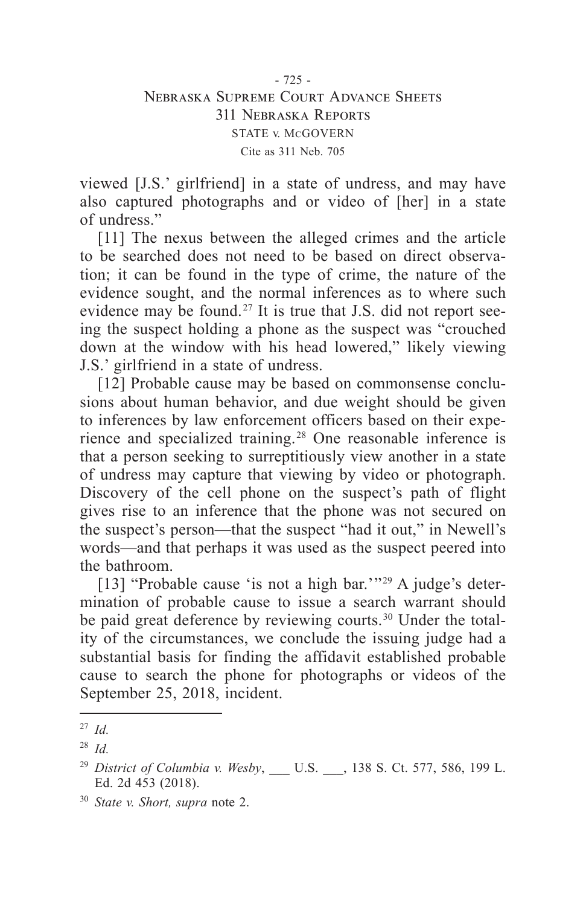viewed [J.S.' girlfriend] in a state of undress, and may have also captured photographs and or video of [her] in a state of undress."

[11] The nexus between the alleged crimes and the article to be searched does not need to be based on direct observation; it can be found in the type of crime, the nature of the evidence sought, and the normal inferences as to where such evidence may be found. 27 It is true that J.S. did not report seeing the suspect holding a phone as the suspect was "crouched down at the window with his head lowered," likely viewing J.S.' girlfriend in a state of undress.

[12] Probable cause may be based on commonsense conclusions about human behavior, and due weight should be given to inferences by law enforcement officers based on their experience and specialized training. 28 One reasonable inference is that a person seeking to surreptitiously view another in a state of undress may capture that viewing by video or photograph. Discovery of the cell phone on the suspect's path of flight gives rise to an inference that the phone was not secured on the suspect's person—that the suspect "had it out," in Newell's words—and that perhaps it was used as the suspect peered into the bathroom.

[13] "Probable cause 'is not a high bar."<sup>29</sup> A judge's determination of probable cause to issue a search warrant should be paid great deference by reviewing courts. 30 Under the totality of the circumstances, we conclude the issuing judge had a substantial basis for finding the affidavit established probable cause to search the phone for photographs or videos of the September 25, 2018, incident.

<sup>27</sup> *Id.*

<sup>28</sup> *Id.*

<sup>&</sup>lt;sup>29</sup> District of Columbia v. Wesby, U.S. , 138 S. Ct. 577, 586, 199 L. Ed. 2d 453 (2018).

<sup>30</sup> *State v. Short, supra* note 2.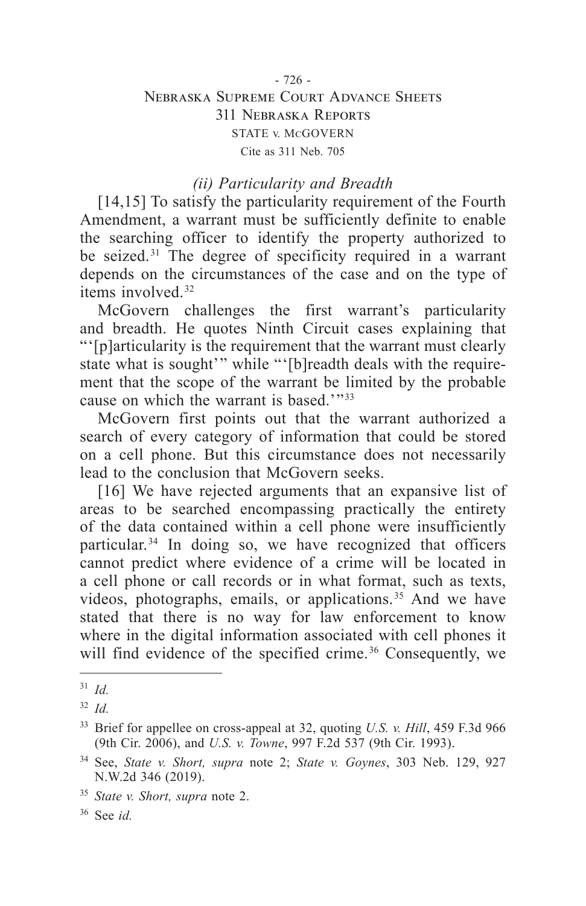### - 726 - Nebraska Supreme Court Advance Sheets 311 Nebraska Reports STATE v. McGOVERN Cite as 311 Neb. 705

### *(ii) Particularity and Breadth*

[14,15] To satisfy the particularity requirement of the Fourth Amendment, a warrant must be sufficiently definite to enable the searching officer to identify the property authorized to be seized. 31 The degree of specificity required in a warrant depends on the circumstances of the case and on the type of items involved. 32

McGovern challenges the first warrant's particularity and breadth. He quotes Ninth Circuit cases explaining that "'[p]articularity is the requirement that the warrant must clearly state what is sought'" while "'[b]readth deals with the requirement that the scope of the warrant be limited by the probable cause on which the warrant is based.'"<sup>33</sup>

McGovern first points out that the warrant authorized a search of every category of information that could be stored on a cell phone. But this circumstance does not necessarily lead to the conclusion that McGovern seeks.

[16] We have rejected arguments that an expansive list of areas to be searched encompassing practically the entirety of the data contained within a cell phone were insufficiently particular. 34 In doing so, we have recognized that officers cannot predict where evidence of a crime will be located in a cell phone or call records or in what format, such as texts, videos, photographs, emails, or applications.<sup>35</sup> And we have stated that there is no way for law enforcement to know where in the digital information associated with cell phones it will find evidence of the specified crime.<sup>36</sup> Consequently, we

<sup>31</sup> *Id.*

<sup>32</sup> *Id.*

<sup>33</sup> Brief for appellee on cross-appeal at 32, quoting *U.S. v. Hill*, 459 F.3d 966 (9th Cir. 2006), and *U.S. v. Towne*, 997 F.2d 537 (9th Cir. 1993).

<sup>34</sup> See, *State v. Short, supra* note 2; *State v. Goynes*, 303 Neb. 129, 927 N.W.2d 346 (2019).

<sup>35</sup> *State v. Short, supra* note 2.

<sup>36</sup> See *id.*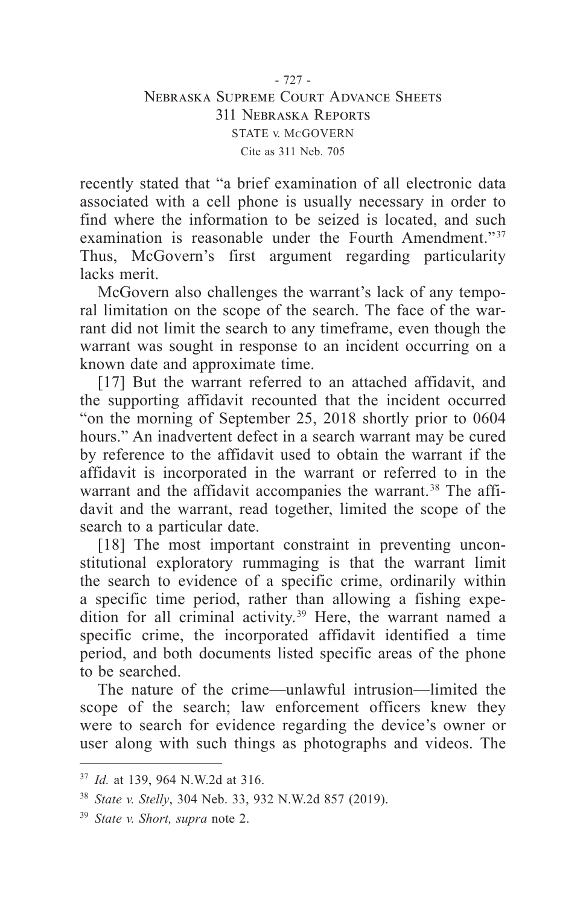recently stated that "a brief examination of all electronic data associated with a cell phone is usually necessary in order to find where the information to be seized is located, and such examination is reasonable under the Fourth Amendment."<sup>37</sup> Thus, McGovern's first argument regarding particularity lacks merit.

McGovern also challenges the warrant's lack of any temporal limitation on the scope of the search. The face of the warrant did not limit the search to any timeframe, even though the warrant was sought in response to an incident occurring on a known date and approximate time.

[17] But the warrant referred to an attached affidavit, and the supporting affidavit recounted that the incident occurred "on the morning of September 25, 2018 shortly prior to 0604 hours." An inadvertent defect in a search warrant may be cured by reference to the affidavit used to obtain the warrant if the affidavit is incorporated in the warrant or referred to in the warrant and the affidavit accompanies the warrant.<sup>38</sup> The affidavit and the warrant, read together, limited the scope of the search to a particular date.

[18] The most important constraint in preventing unconstitutional exploratory rummaging is that the warrant limit the search to evidence of a specific crime, ordinarily within a specific time period, rather than allowing a fishing expedition for all criminal activity. 39 Here, the warrant named a specific crime, the incorporated affidavit identified a time period, and both documents listed specific areas of the phone to be searched.

The nature of the crime—unlawful intrusion—limited the scope of the search; law enforcement officers knew they were to search for evidence regarding the device's owner or user along with such things as photographs and videos. The

<sup>37</sup> *Id.* at 139, 964 N.W.2d at 316.

<sup>38</sup> *State v. Stelly*, 304 Neb. 33, 932 N.W.2d 857 (2019).

<sup>39</sup> *State v. Short, supra* note 2.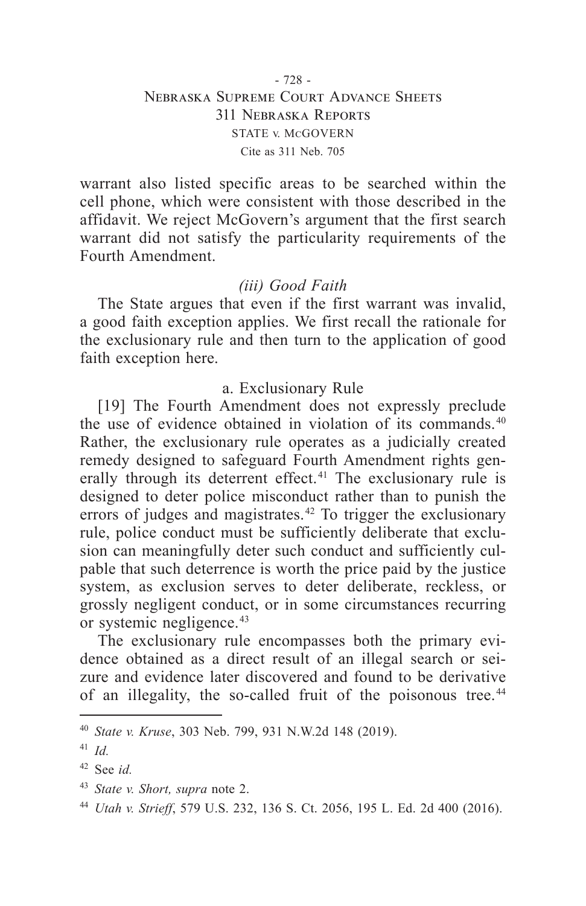## - 728 - Nebraska Supreme Court Advance Sheets 311 Nebraska Reports STATE v. McGOVERN Cite as 311 Neb. 705

warrant also listed specific areas to be searched within the cell phone, which were consistent with those described in the affidavit. We reject McGovern's argument that the first search warrant did not satisfy the particularity requirements of the Fourth Amendment.

## *(iii) Good Faith*

The State argues that even if the first warrant was invalid, a good faith exception applies. We first recall the rationale for the exclusionary rule and then turn to the application of good faith exception here.

#### a. Exclusionary Rule

[19] The Fourth Amendment does not expressly preclude the use of evidence obtained in violation of its commands. 40 Rather, the exclusionary rule operates as a judicially created remedy designed to safeguard Fourth Amendment rights generally through its deterrent effect.<sup>41</sup> The exclusionary rule is designed to deter police misconduct rather than to punish the errors of judges and magistrates. $42$  To trigger the exclusionary rule, police conduct must be sufficiently deliberate that exclusion can meaningfully deter such conduct and sufficiently culpable that such deterrence is worth the price paid by the justice system, as exclusion serves to deter deliberate, reckless, or grossly negligent conduct, or in some circumstances recurring or systemic negligence. 43

The exclusionary rule encompasses both the primary evidence obtained as a direct result of an illegal search or seizure and evidence later discovered and found to be derivative of an illegality, the so-called fruit of the poisonous tree. 44

<sup>40</sup> *State v. Kruse*, 303 Neb. 799, 931 N.W.2d 148 (2019).

<sup>41</sup> *Id.*

<sup>42</sup> See *id.*

<sup>43</sup> *State v. Short, supra* note 2.

<sup>44</sup> *Utah v. Strieff*, 579 U.S. 232, 136 S. Ct. 2056, 195 L. Ed. 2d 400 (2016).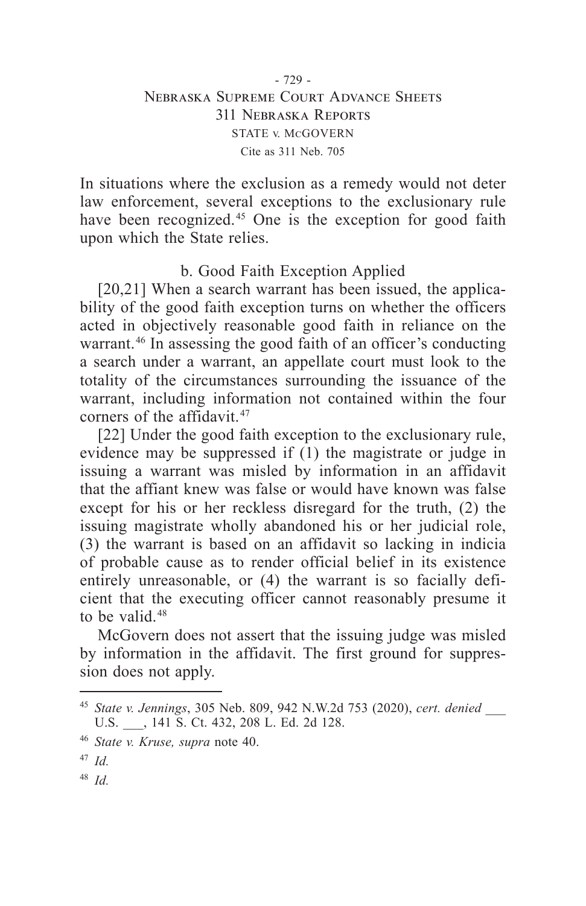In situations where the exclusion as a remedy would not deter law enforcement, several exceptions to the exclusionary rule have been recognized.<sup>45</sup> One is the exception for good faith upon which the State relies.

# b. Good Faith Exception Applied

[20,21] When a search warrant has been issued, the applicability of the good faith exception turns on whether the officers acted in objectively reasonable good faith in reliance on the warrant.<sup>46</sup> In assessing the good faith of an officer's conducting a search under a warrant, an appellate court must look to the totality of the circumstances surrounding the issuance of the warrant, including information not contained within the four corners of the affidavit. 47

[22] Under the good faith exception to the exclusionary rule, evidence may be suppressed if (1) the magistrate or judge in issuing a warrant was misled by information in an affidavit that the affiant knew was false or would have known was false except for his or her reckless disregard for the truth, (2) the issuing magistrate wholly abandoned his or her judicial role, (3) the warrant is based on an affidavit so lacking in indicia of probable cause as to render official belief in its existence entirely unreasonable, or (4) the warrant is so facially deficient that the executing officer cannot reasonably presume it to be valid.<sup>48</sup>

McGovern does not assert that the issuing judge was misled by information in the affidavit. The first ground for suppression does not apply.

<sup>45</sup> *State v. Jennings*, 305 Neb. 809, 942 N.W.2d 753 (2020), *cert. denied* \_\_\_ U.S.  $\qquad$ , 141 S. Ct. 432, 208 L. Ed. 2d 128.

<sup>46</sup> *State v. Kruse, supra* note 40.

<sup>47</sup> *Id.*

<sup>48</sup> *Id.*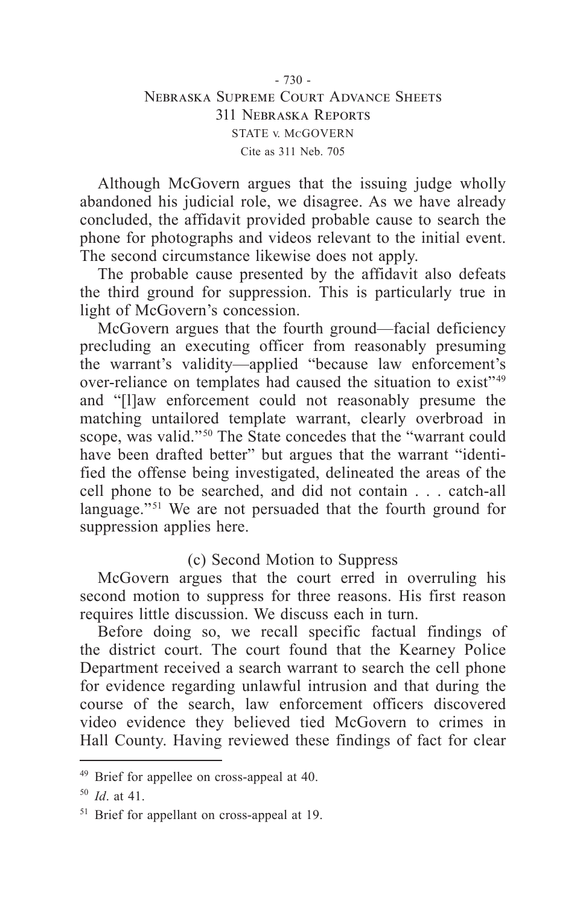## - 730 - Nebraska Supreme Court Advance Sheets 311 Nebraska Reports STATE v. McGOVERN Cite as 311 Neb. 705

Although McGovern argues that the issuing judge wholly abandoned his judicial role, we disagree. As we have already concluded, the affidavit provided probable cause to search the phone for photographs and videos relevant to the initial event. The second circumstance likewise does not apply.

The probable cause presented by the affidavit also defeats the third ground for suppression. This is particularly true in light of McGovern's concession.

McGovern argues that the fourth ground—facial deficiency precluding an executing officer from reasonably presuming the warrant's validity—applied "because law enforcement's over-reliance on templates had caused the situation to exist" 49 and "[l]aw enforcement could not reasonably presume the matching untailored template warrant, clearly overbroad in scope, was valid."<sup>50</sup> The State concedes that the "warrant could have been drafted better" but argues that the warrant "identified the offense being investigated, delineated the areas of the cell phone to be searched, and did not contain . . . catch-all language."<sup>51</sup> We are not persuaded that the fourth ground for suppression applies here.

# (c) Second Motion to Suppress

McGovern argues that the court erred in overruling his second motion to suppress for three reasons. His first reason requires little discussion. We discuss each in turn.

Before doing so, we recall specific factual findings of the district court. The court found that the Kearney Police Department received a search warrant to search the cell phone for evidence regarding unlawful intrusion and that during the course of the search, law enforcement officers discovered video evidence they believed tied McGovern to crimes in Hall County. Having reviewed these findings of fact for clear

<sup>&</sup>lt;sup>49</sup> Brief for appellee on cross-appeal at 40.

<sup>50</sup> *Id*. at 41.

<sup>&</sup>lt;sup>51</sup> Brief for appellant on cross-appeal at 19.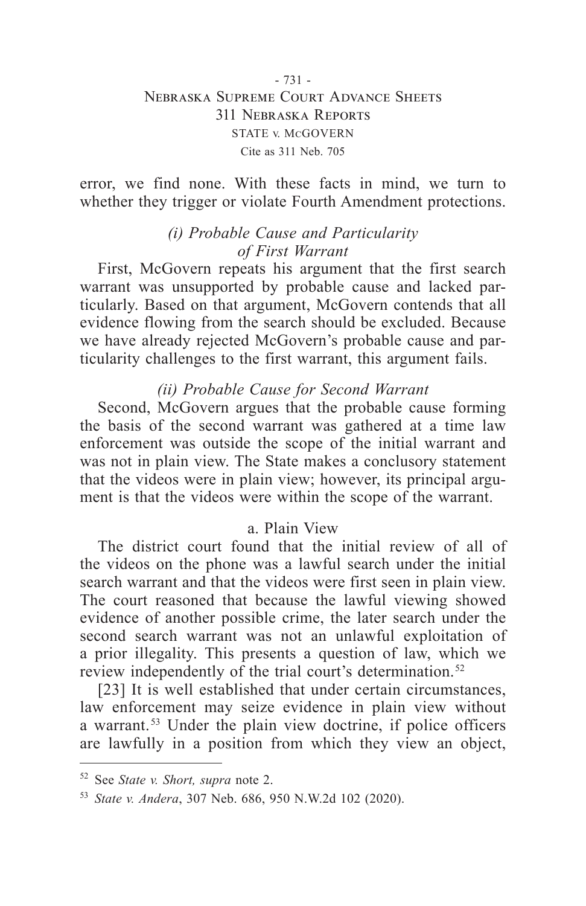## - 731 - Nebraska Supreme Court Advance Sheets 311 Nebraska Reports STATE v. McGOVERN Cite as 311 Neb. 705

error, we find none. With these facts in mind, we turn to whether they trigger or violate Fourth Amendment protections.

# *(i) Probable Cause and Particularity of First Warrant*

First, McGovern repeats his argument that the first search warrant was unsupported by probable cause and lacked particularly. Based on that argument, McGovern contends that all evidence flowing from the search should be excluded. Because we have already rejected McGovern's probable cause and particularity challenges to the first warrant, this argument fails.

# *(ii) Probable Cause for Second Warrant*

Second, McGovern argues that the probable cause forming the basis of the second warrant was gathered at a time law enforcement was outside the scope of the initial warrant and was not in plain view. The State makes a conclusory statement that the videos were in plain view; however, its principal argument is that the videos were within the scope of the warrant.

## a. Plain View

The district court found that the initial review of all of the videos on the phone was a lawful search under the initial search warrant and that the videos were first seen in plain view. The court reasoned that because the lawful viewing showed evidence of another possible crime, the later search under the second search warrant was not an unlawful exploitation of a prior illegality. This presents a question of law, which we review independently of the trial court's determination. 52

[23] It is well established that under certain circumstances, law enforcement may seize evidence in plain view without a warrant. 53 Under the plain view doctrine, if police officers are lawfully in a position from which they view an object,

<sup>52</sup> See *State v. Short, supra* note 2.

<sup>53</sup> *State v. Andera*, 307 Neb. 686, 950 N.W.2d 102 (2020).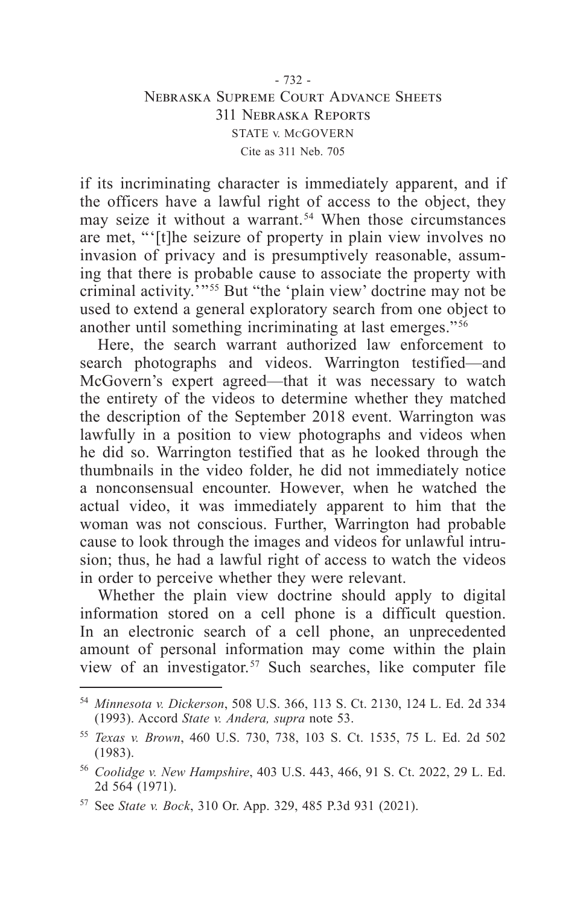### - 732 - Nebraska Supreme Court Advance Sheets 311 Nebraska Reports STATE v. McGOVERN Cite as 311 Neb. 705

if its incriminating character is immediately apparent, and if the officers have a lawful right of access to the object, they may seize it without a warrant. 54 When those circumstances are met, "'[t]he seizure of property in plain view involves no invasion of privacy and is presumptively reasonable, assuming that there is probable cause to associate the property with criminal activity.'" 55 But "the 'plain view' doctrine may not be used to extend a general exploratory search from one object to another until something incriminating at last emerges." 56

Here, the search warrant authorized law enforcement to search photographs and videos. Warrington testified—and McGovern's expert agreed—that it was necessary to watch the entirety of the videos to determine whether they matched the description of the September 2018 event. Warrington was lawfully in a position to view photographs and videos when he did so. Warrington testified that as he looked through the thumbnails in the video folder, he did not immediately notice a nonconsensual encounter. However, when he watched the actual video, it was immediately apparent to him that the woman was not conscious. Further, Warrington had probable cause to look through the images and videos for unlawful intrusion; thus, he had a lawful right of access to watch the videos in order to perceive whether they were relevant.

Whether the plain view doctrine should apply to digital information stored on a cell phone is a difficult question. In an electronic search of a cell phone, an unprecedented amount of personal information may come within the plain view of an investigator. 57 Such searches, like computer file

<sup>54</sup> *Minnesota v. Dickerson*, 508 U.S. 366, 113 S. Ct. 2130, 124 L. Ed. 2d 334 (1993). Accord *State v. Andera, supra* note 53.

<sup>55</sup> *Texas v. Brown*, 460 U.S. 730, 738, 103 S. Ct. 1535, 75 L. Ed. 2d 502 (1983).

<sup>56</sup> *Coolidge v. New Hampshire*, 403 U.S. 443, 466, 91 S. Ct. 2022, 29 L. Ed. 2d 564 (1971).

<sup>57</sup> See *State v. Bock*, 310 Or. App. 329, 485 P.3d 931 (2021).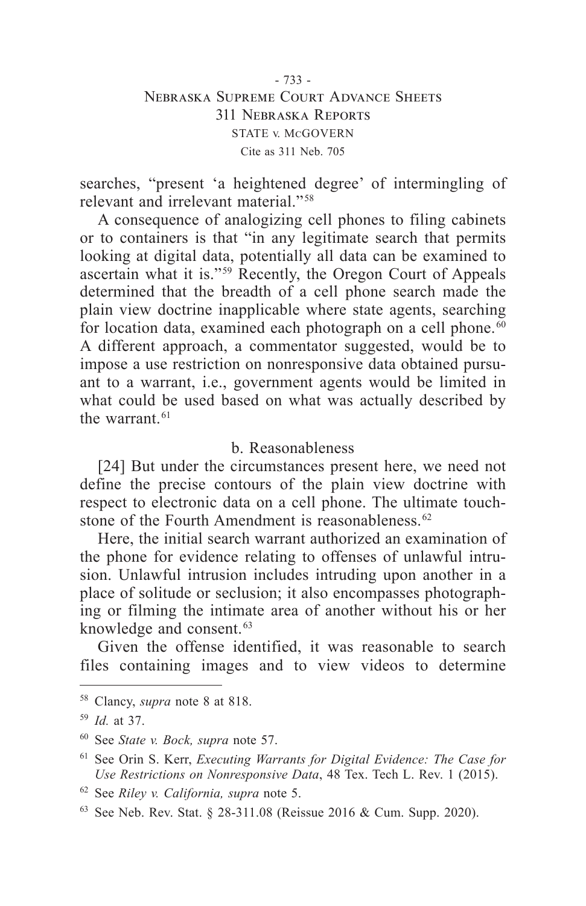## - 733 - Nebraska Supreme Court Advance Sheets 311 Nebraska Reports STATE v. McGOVERN Cite as 311 Neb. 705

searches, "present 'a heightened degree' of intermingling of relevant and irrelevant material." 58

A consequence of analogizing cell phones to filing cabinets or to containers is that "in any legitimate search that permits looking at digital data, potentially all data can be examined to ascertain what it is." 59 Recently, the Oregon Court of Appeals determined that the breadth of a cell phone search made the plain view doctrine inapplicable where state agents, searching for location data, examined each photograph on a cell phone. $\overline{60}$ A different approach, a commentator suggested, would be to impose a use restriction on nonresponsive data obtained pursuant to a warrant, i.e., government agents would be limited in what could be used based on what was actually described by the warrant.<sup>61</sup>

## b. Reasonableness

[24] But under the circumstances present here, we need not define the precise contours of the plain view doctrine with respect to electronic data on a cell phone. The ultimate touchstone of the Fourth Amendment is reasonableness. 62

Here, the initial search warrant authorized an examination of the phone for evidence relating to offenses of unlawful intrusion. Unlawful intrusion includes intruding upon another in a place of solitude or seclusion; it also encompasses photographing or filming the intimate area of another without his or her knowledge and consent.<sup>63</sup>

Given the offense identified, it was reasonable to search files containing images and to view videos to determine

<sup>58</sup> Clancy, *supra* note 8 at 818.

<sup>59</sup> *Id.* at 37.

<sup>60</sup> See *State v. Bock, supra* note 57.

<sup>61</sup> See Orin S. Kerr, *Executing Warrants for Digital Evidence: The Case for Use Restrictions on Nonresponsive Data*, 48 Tex. Tech L. Rev. 1 (2015).

<sup>62</sup> See *Riley v. California, supra* note 5.

<sup>63</sup> See Neb. Rev. Stat. § 28-311.08 (Reissue 2016 & Cum. Supp. 2020).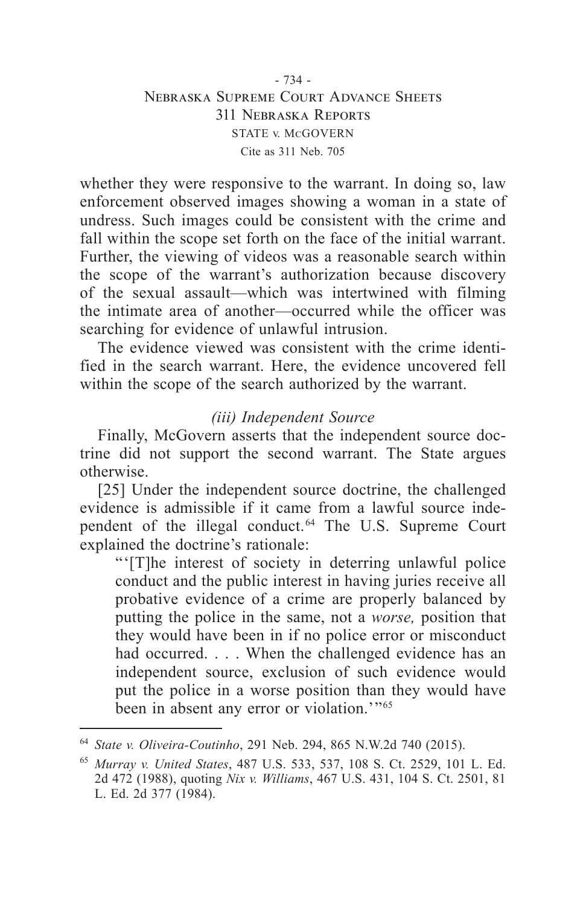## - 734 - Nebraska Supreme Court Advance Sheets 311 Nebraska Reports STATE v. McGOVERN Cite as 311 Neb. 705

whether they were responsive to the warrant. In doing so, law enforcement observed images showing a woman in a state of undress. Such images could be consistent with the crime and fall within the scope set forth on the face of the initial warrant. Further, the viewing of videos was a reasonable search within the scope of the warrant's authorization because discovery of the sexual assault—which was intertwined with filming the intimate area of another—occurred while the officer was searching for evidence of unlawful intrusion.

The evidence viewed was consistent with the crime identified in the search warrant. Here, the evidence uncovered fell within the scope of the search authorized by the warrant.

# *(iii) Independent Source*

Finally, McGovern asserts that the independent source doctrine did not support the second warrant. The State argues otherwise.

[25] Under the independent source doctrine, the challenged evidence is admissible if it came from a lawful source independent of the illegal conduct. 64 The U.S. Supreme Court explained the doctrine's rationale:

"'[T]he interest of society in deterring unlawful police conduct and the public interest in having juries receive all probative evidence of a crime are properly balanced by putting the police in the same, not a *worse,* position that they would have been in if no police error or misconduct had occurred. . . . When the challenged evidence has an independent source, exclusion of such evidence would put the police in a worse position than they would have been in absent any error or violation.'"<sup>65</sup>

<sup>64</sup> *State v. Oliveira-Coutinho*, 291 Neb. 294, 865 N.W.2d 740 (2015).

<sup>65</sup> *Murray v. United States*, 487 U.S. 533, 537, 108 S. Ct. 2529, 101 L. Ed. 2d 472 (1988), quoting *Nix v. Williams*, 467 U.S. 431, 104 S. Ct. 2501, 81 L. Ed. 2d 377 (1984).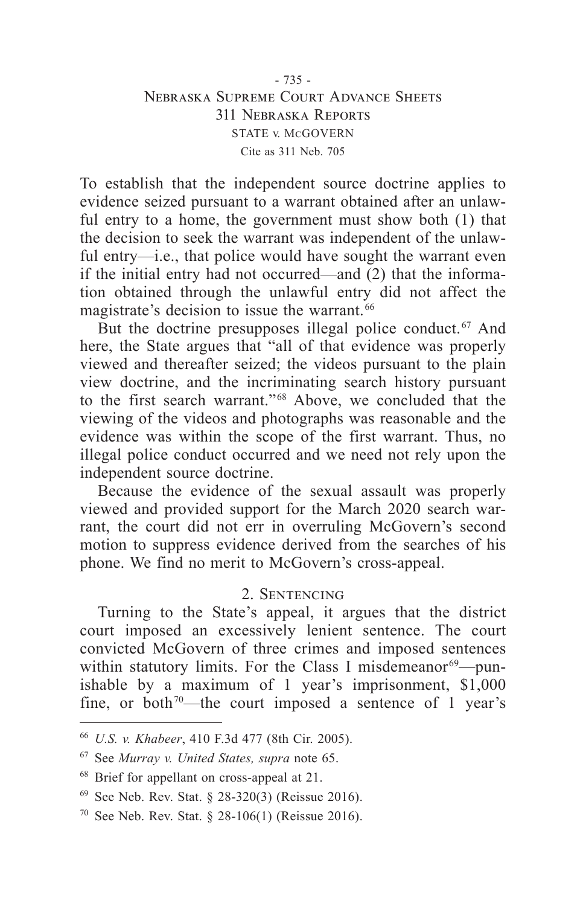## - 735 - Nebraska Supreme Court Advance Sheets 311 Nebraska Reports STATE v. McGOVERN Cite as 311 Neb. 705

To establish that the independent source doctrine applies to evidence seized pursuant to a warrant obtained after an unlawful entry to a home, the government must show both (1) that the decision to seek the warrant was independent of the unlawful entry—i.e., that police would have sought the warrant even if the initial entry had not occurred—and (2) that the information obtained through the unlawful entry did not affect the magistrate's decision to issue the warrant. 66

But the doctrine presupposes illegal police conduct.<sup>67</sup> And here, the State argues that "all of that evidence was properly viewed and thereafter seized; the videos pursuant to the plain view doctrine, and the incriminating search history pursuant to the first search warrant." 68 Above, we concluded that the viewing of the videos and photographs was reasonable and the evidence was within the scope of the first warrant. Thus, no illegal police conduct occurred and we need not rely upon the independent source doctrine.

Because the evidence of the sexual assault was properly viewed and provided support for the March 2020 search warrant, the court did not err in overruling McGovern's second motion to suppress evidence derived from the searches of his phone. We find no merit to McGovern's cross-appeal.

## 2. Sentencing

Turning to the State's appeal, it argues that the district court imposed an excessively lenient sentence. The court convicted McGovern of three crimes and imposed sentences within statutory limits. For the Class I misdemeanor<sup>69</sup>—punishable by a maximum of 1 year's imprisonment, \$1,000 fine, or both<sup> $70$ </sup>—the court imposed a sentence of 1 year's

<sup>66</sup> *U.S. v. Khabeer*, 410 F.3d 477 (8th Cir. 2005).

<sup>67</sup> See *Murray v. United States, supra* note 65.

<sup>68</sup> Brief for appellant on cross-appeal at 21.

<sup>69</sup> See Neb. Rev. Stat. § 28-320(3) (Reissue 2016).

<sup>&</sup>lt;sup>70</sup> See Neb. Rev. Stat. § 28-106(1) (Reissue 2016).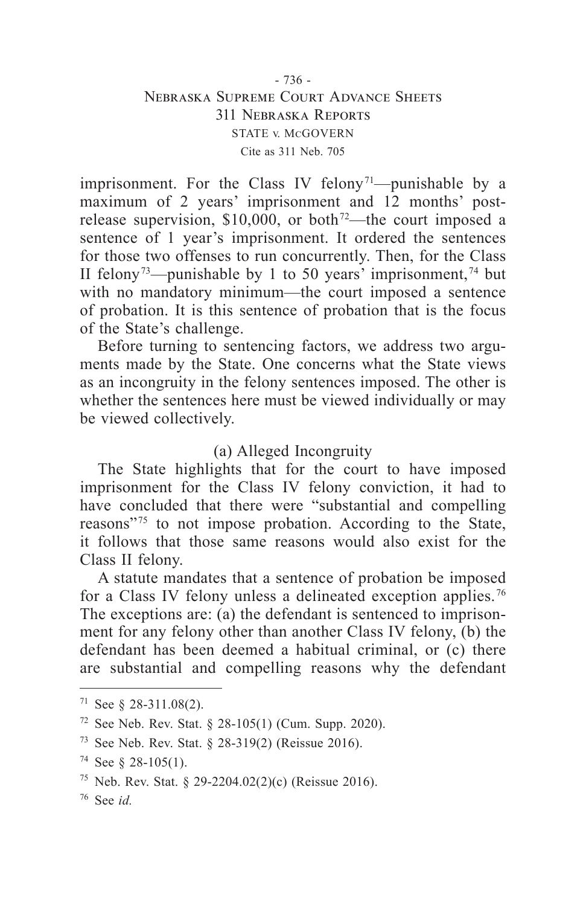## - 736 - Nebraska Supreme Court Advance Sheets 311 Nebraska Reports STATE v. McGOVERN Cite as 311 Neb. 705

imprisonment. For the Class IV felony<sup> $71$ </sup>—punishable by a maximum of 2 years' imprisonment and 12 months' postrelease supervision,  $$10,000$ , or both<sup>72</sup>—the court imposed a sentence of 1 year's imprisonment. It ordered the sentences for those two offenses to run concurrently. Then, for the Class II felony<sup> $73$ </sup>—punishable by 1 to 50 years' imprisonment,<sup> $74$ </sup> but with no mandatory minimum—the court imposed a sentence of probation. It is this sentence of probation that is the focus of the State's challenge.

Before turning to sentencing factors, we address two arguments made by the State. One concerns what the State views as an incongruity in the felony sentences imposed. The other is whether the sentences here must be viewed individually or may be viewed collectively.

## (a) Alleged Incongruity

The State highlights that for the court to have imposed imprisonment for the Class IV felony conviction, it had to have concluded that there were "substantial and compelling reasons"<sup>75</sup> to not impose probation. According to the State, it follows that those same reasons would also exist for the Class II felony.

A statute mandates that a sentence of probation be imposed for a Class IV felony unless a delineated exception applies. 76 The exceptions are: (a) the defendant is sentenced to imprisonment for any felony other than another Class IV felony, (b) the defendant has been deemed a habitual criminal, or (c) there are substantial and compelling reasons why the defendant

 $71$  See § 28-311.08(2).

<sup>72</sup> See Neb. Rev. Stat. § 28-105(1) (Cum. Supp. 2020).

<sup>73</sup> See Neb. Rev. Stat. § 28-319(2) (Reissue 2016).

<sup>74</sup> See § 28-105(1).

<sup>75</sup> Neb. Rev. Stat. § 29-2204.02(2)(c) (Reissue 2016).

<sup>76</sup> See *id.*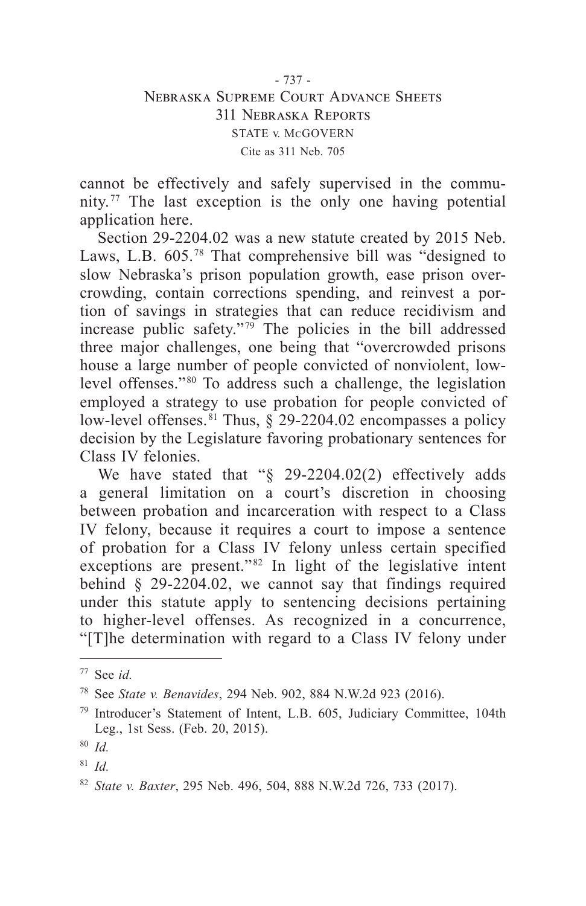cannot be effectively and safely supervised in the community.<sup> $77$ </sup> The last exception is the only one having potential application here.

Section 29-2204.02 was a new statute created by 2015 Neb. Laws, L.B. 605.<sup>78</sup> That comprehensive bill was "designed to slow Nebraska's prison population growth, ease prison overcrowding, contain corrections spending, and reinvest a portion of savings in strategies that can reduce recidivism and increase public safety."<sup>79</sup> The policies in the bill addressed three major challenges, one being that "overcrowded prisons house a large number of people convicted of nonviolent, lowlevel offenses."<sup>80</sup> To address such a challenge, the legislation employed a strategy to use probation for people convicted of low-level offenses.<sup>81</sup> Thus,  $\S$  29-2204.02 encompasses a policy decision by the Legislature favoring probationary sentences for Class IV felonies.

We have stated that "§ 29-2204.02(2) effectively adds a general limitation on a court's discretion in choosing between probation and incarceration with respect to a Class IV felony, because it requires a court to impose a sentence of probation for a Class IV felony unless certain specified exceptions are present."<sup>82</sup> In light of the legislative intent behind § 29-2204.02, we cannot say that findings required under this statute apply to sentencing decisions pertaining to higher-level offenses. As recognized in a concurrence, "[T]he determination with regard to a Class IV felony under

<sup>77</sup> See *id.*

<sup>78</sup> See *State v. Benavides*, 294 Neb. 902, 884 N.W.2d 923 (2016).

<sup>79</sup> Introducer's Statement of Intent, L.B. 605, Judiciary Committee, 104th Leg., 1st Sess. (Feb. 20, 2015).

<sup>80</sup> *Id.*

<sup>81</sup> *Id.*

<sup>82</sup> *State v. Baxter*, 295 Neb. 496, 504, 888 N.W.2d 726, 733 (2017).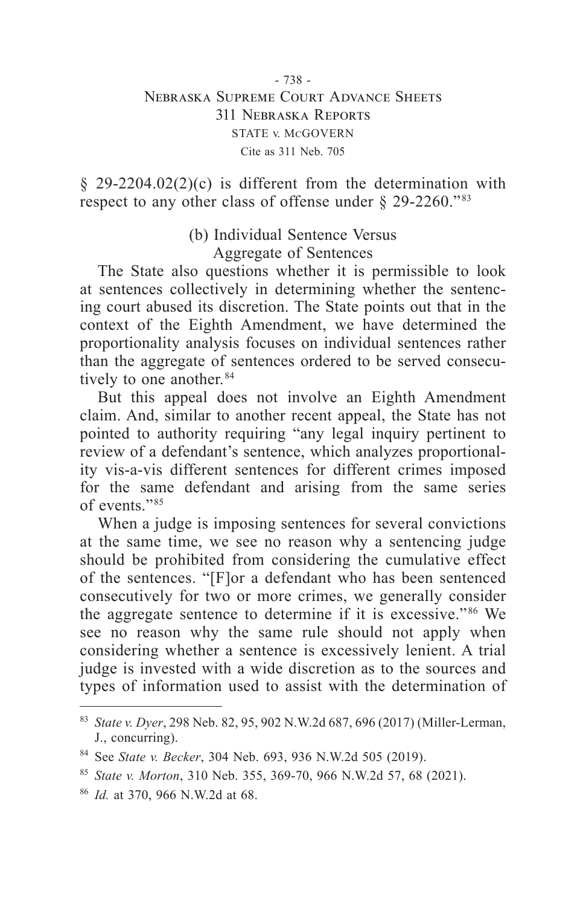§ 29-2204.02(2)(c) is different from the determination with respect to any other class of offense under § 29-2260."<sup>83</sup>

> (b) Individual Sentence Versus Aggregate of Sentences

The State also questions whether it is permissible to look at sentences collectively in determining whether the sentencing court abused its discretion. The State points out that in the context of the Eighth Amendment, we have determined the proportionality analysis focuses on individual sentences rather than the aggregate of sentences ordered to be served consecutively to one another. 84

But this appeal does not involve an Eighth Amendment claim. And, similar to another recent appeal, the State has not pointed to authority requiring "any legal inquiry pertinent to review of a defendant's sentence, which analyzes proportionality vis-a-vis different sentences for different crimes imposed for the same defendant and arising from the same series of events." 85

When a judge is imposing sentences for several convictions at the same time, we see no reason why a sentencing judge should be prohibited from considering the cumulative effect of the sentences. "[F]or a defendant who has been sentenced consecutively for two or more crimes, we generally consider the aggregate sentence to determine if it is excessive." 86 We see no reason why the same rule should not apply when considering whether a sentence is excessively lenient. A trial judge is invested with a wide discretion as to the sources and types of information used to assist with the determination of

<sup>83</sup> *State v. Dyer*, 298 Neb. 82, 95, 902 N.W.2d 687, 696 (2017) (Miller-Lerman, J., concurring).

<sup>84</sup> See *State v. Becker*, 304 Neb. 693, 936 N.W.2d 505 (2019).

<sup>85</sup> *State v. Morton*, 310 Neb. 355, 369-70, 966 N.W.2d 57, 68 (2021).

<sup>86</sup> *Id.* at 370, 966 N.W.2d at 68.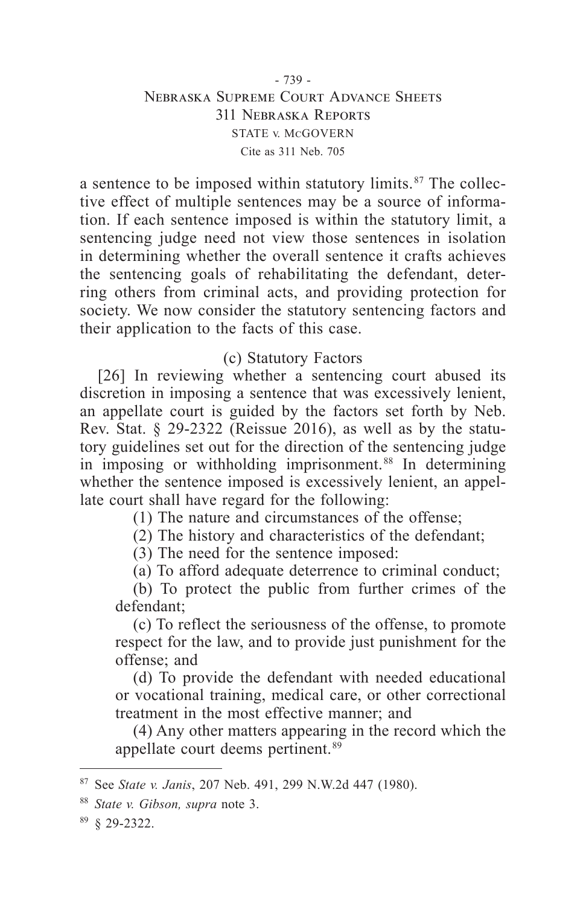## - 739 - Nebraska Supreme Court Advance Sheets 311 Nebraska Reports STATE v. McGOVERN Cite as 311 Neb. 705

a sentence to be imposed within statutory limits.<sup>87</sup> The collective effect of multiple sentences may be a source of information. If each sentence imposed is within the statutory limit, a sentencing judge need not view those sentences in isolation in determining whether the overall sentence it crafts achieves the sentencing goals of rehabilitating the defendant, deterring others from criminal acts, and providing protection for society. We now consider the statutory sentencing factors and their application to the facts of this case.

# (c) Statutory Factors

[26] In reviewing whether a sentencing court abused its discretion in imposing a sentence that was excessively lenient, an appellate court is guided by the factors set forth by Neb. Rev. Stat. § 29-2322 (Reissue 2016), as well as by the statutory guidelines set out for the direction of the sentencing judge in imposing or withholding imprisonment.<sup>88</sup> In determining whether the sentence imposed is excessively lenient, an appellate court shall have regard for the following:

(1) The nature and circumstances of the offense;

(2) The history and characteristics of the defendant;

(3) The need for the sentence imposed:

(a) To afford adequate deterrence to criminal conduct;

(b) To protect the public from further crimes of the defendant;

(c) To reflect the seriousness of the offense, to promote respect for the law, and to provide just punishment for the offense; and

(d) To provide the defendant with needed educational or vocational training, medical care, or other correctional treatment in the most effective manner; and

(4) Any other matters appearing in the record which the appellate court deems pertinent. 89

<sup>89</sup> § 29-2322.

<sup>87</sup> See *State v. Janis*, 207 Neb. 491, 299 N.W.2d 447 (1980).

<sup>88</sup> *State v. Gibson, supra* note 3.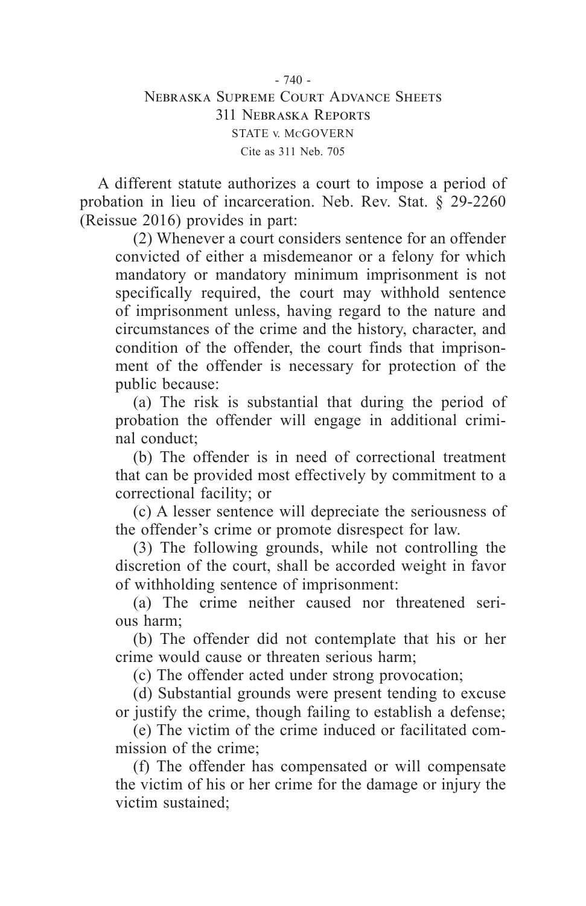A different statute authorizes a court to impose a period of probation in lieu of incarceration. Neb. Rev. Stat. § 29-2260 (Reissue 2016) provides in part:

(2) Whenever a court considers sentence for an offender convicted of either a misdemeanor or a felony for which mandatory or mandatory minimum imprisonment is not specifically required, the court may withhold sentence of imprisonment unless, having regard to the nature and circumstances of the crime and the history, character, and condition of the offender, the court finds that imprisonment of the offender is necessary for protection of the public because:

(a) The risk is substantial that during the period of probation the offender will engage in additional criminal conduct;

(b) The offender is in need of correctional treatment that can be provided most effectively by commitment to a correctional facility; or

(c) A lesser sentence will depreciate the seriousness of the offender's crime or promote disrespect for law.

(3) The following grounds, while not controlling the discretion of the court, shall be accorded weight in favor of withholding sentence of imprisonment:

(a) The crime neither caused nor threatened serious harm;

(b) The offender did not contemplate that his or her crime would cause or threaten serious harm;

(c) The offender acted under strong provocation;

(d) Substantial grounds were present tending to excuse or justify the crime, though failing to establish a defense;

(e) The victim of the crime induced or facilitated commission of the crime;

(f) The offender has compensated or will compensate the victim of his or her crime for the damage or injury the victim sustained;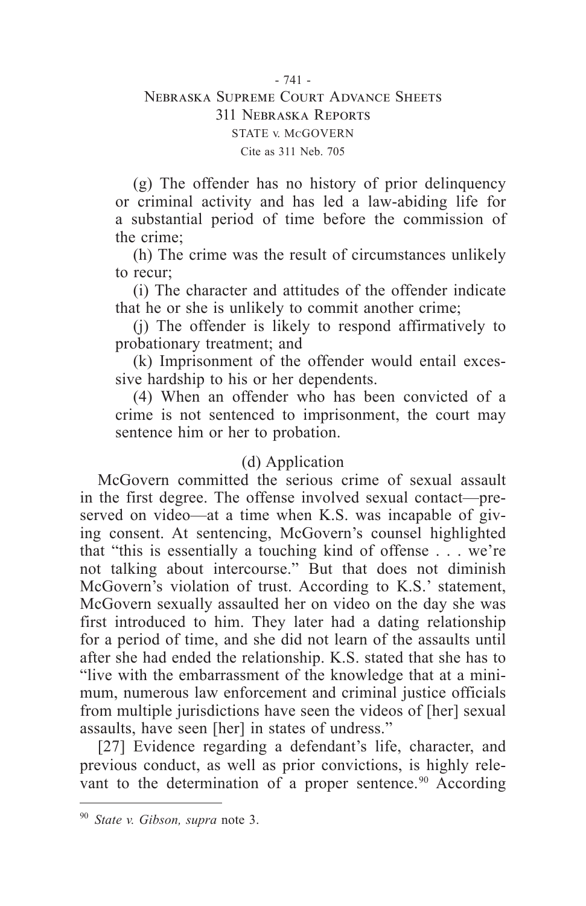## - 741 - Nebraska Supreme Court Advance Sheets 311 Nebraska Reports STATE v. McGOVERN Cite as 311 Neb. 705

(g) The offender has no history of prior delinquency or criminal activity and has led a law-abiding life for a substantial period of time before the commission of the crime;

(h) The crime was the result of circumstances unlikely to recur;

(i) The character and attitudes of the offender indicate that he or she is unlikely to commit another crime;

(j) The offender is likely to respond affirmatively to probationary treatment; and

(k) Imprisonment of the offender would entail excessive hardship to his or her dependents.

(4) When an offender who has been convicted of a crime is not sentenced to imprisonment, the court may sentence him or her to probation.

# (d) Application

McGovern committed the serious crime of sexual assault in the first degree. The offense involved sexual contact—preserved on video—at a time when K.S. was incapable of giving consent. At sentencing, McGovern's counsel highlighted that "this is essentially a touching kind of offense . . . we're not talking about intercourse." But that does not diminish McGovern's violation of trust. According to K.S.' statement, McGovern sexually assaulted her on video on the day she was first introduced to him. They later had a dating relationship for a period of time, and she did not learn of the assaults until after she had ended the relationship. K.S. stated that she has to "live with the embarrassment of the knowledge that at a minimum, numerous law enforcement and criminal justice officials from multiple jurisdictions have seen the videos of [her] sexual assaults, have seen [her] in states of undress."

[27] Evidence regarding a defendant's life, character, and previous conduct, as well as prior convictions, is highly relevant to the determination of a proper sentence.<sup>90</sup> According

<sup>90</sup> *State v. Gibson, supra* note 3.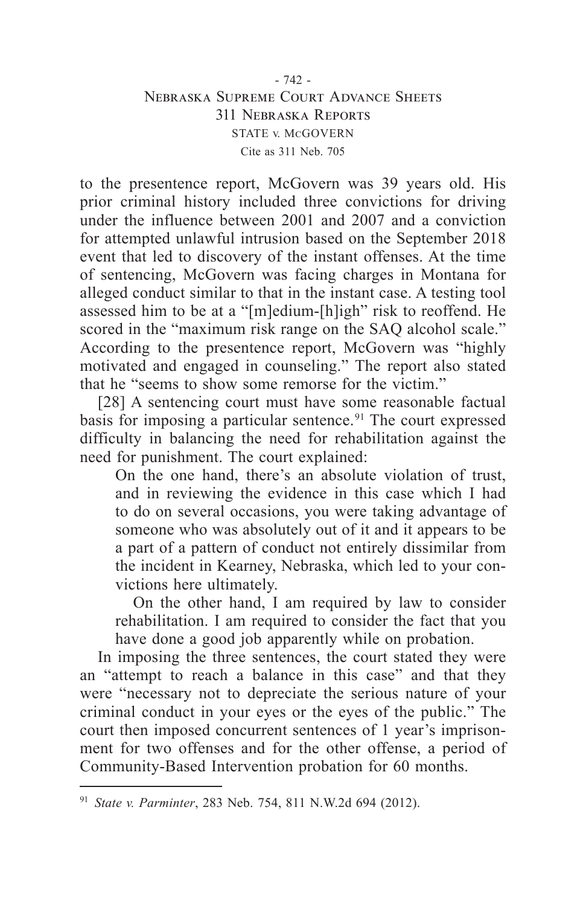## $-742$ Nebraska Supreme Court Advance Sheets 311 Nebraska Reports STATE v. McGOVERN Cite as 311 Neb. 705

to the presentence report, McGovern was 39 years old. His prior criminal history included three convictions for driving under the influence between 2001 and 2007 and a conviction for attempted unlawful intrusion based on the September 2018 event that led to discovery of the instant offenses. At the time of sentencing, McGovern was facing charges in Montana for alleged conduct similar to that in the instant case. A testing tool assessed him to be at a "[m]edium-[h]igh" risk to reoffend. He scored in the "maximum risk range on the SAO alcohol scale." According to the presentence report, McGovern was "highly motivated and engaged in counseling." The report also stated that he "seems to show some remorse for the victim."

[28] A sentencing court must have some reasonable factual basis for imposing a particular sentence. 91 The court expressed difficulty in balancing the need for rehabilitation against the need for punishment. The court explained:

On the one hand, there's an absolute violation of trust, and in reviewing the evidence in this case which I had to do on several occasions, you were taking advantage of someone who was absolutely out of it and it appears to be a part of a pattern of conduct not entirely dissimilar from the incident in Kearney, Nebraska, which led to your convictions here ultimately.

On the other hand, I am required by law to consider rehabilitation. I am required to consider the fact that you have done a good job apparently while on probation.

In imposing the three sentences, the court stated they were an "attempt to reach a balance in this case" and that they were "necessary not to depreciate the serious nature of your criminal conduct in your eyes or the eyes of the public." The court then imposed concurrent sentences of 1 year's imprisonment for two offenses and for the other offense, a period of Community-Based Intervention probation for 60 months.

<sup>91</sup> *State v. Parminter*, 283 Neb. 754, 811 N.W.2d 694 (2012).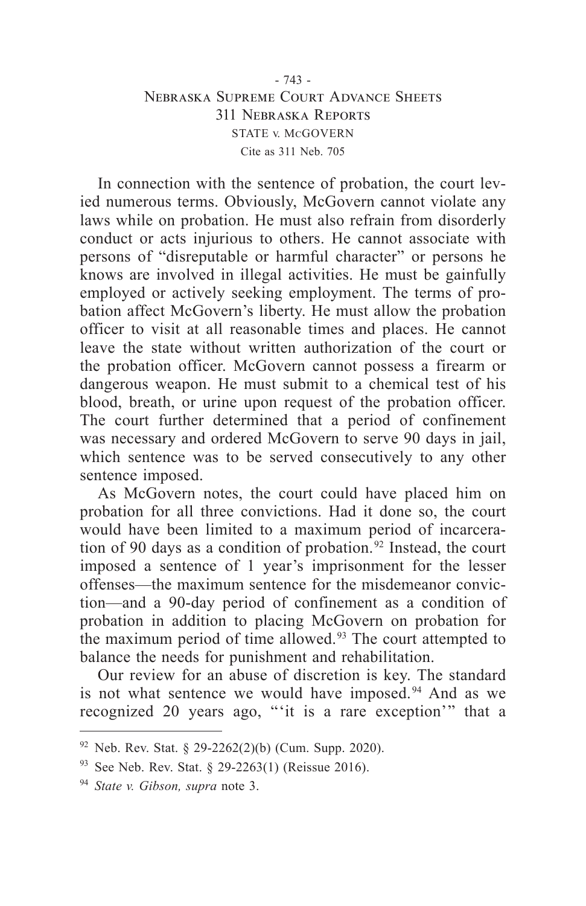## - 743 - Nebraska Supreme Court Advance Sheets 311 Nebraska Reports STATE v. McGOVERN Cite as 311 Neb. 705

In connection with the sentence of probation, the court levied numerous terms. Obviously, McGovern cannot violate any laws while on probation. He must also refrain from disorderly conduct or acts injurious to others. He cannot associate with persons of "disreputable or harmful character" or persons he knows are involved in illegal activities. He must be gainfully employed or actively seeking employment. The terms of probation affect McGovern's liberty. He must allow the probation officer to visit at all reasonable times and places. He cannot leave the state without written authorization of the court or the probation officer. McGovern cannot possess a firearm or dangerous weapon. He must submit to a chemical test of his blood, breath, or urine upon request of the probation officer. The court further determined that a period of confinement was necessary and ordered McGovern to serve 90 days in jail, which sentence was to be served consecutively to any other sentence imposed.

As McGovern notes, the court could have placed him on probation for all three convictions. Had it done so, the court would have been limited to a maximum period of incarceration of 90 days as a condition of probation. 92 Instead, the court imposed a sentence of 1 year's imprisonment for the lesser offenses—the maximum sentence for the misdemeanor conviction—and a 90-day period of confinement as a condition of probation in addition to placing McGovern on probation for the maximum period of time allowed.<sup>93</sup> The court attempted to balance the needs for punishment and rehabilitation.

Our review for an abuse of discretion is key. The standard is not what sentence we would have imposed.<sup>94</sup> And as we recognized 20 years ago, "'it is a rare exception'" that a

 $92$  Neb. Rev. Stat. § 29-2262(2)(b) (Cum. Supp. 2020).

<sup>93</sup> See Neb. Rev. Stat. § 29-2263(1) (Reissue 2016).

<sup>94</sup> *State v. Gibson, supra* note 3.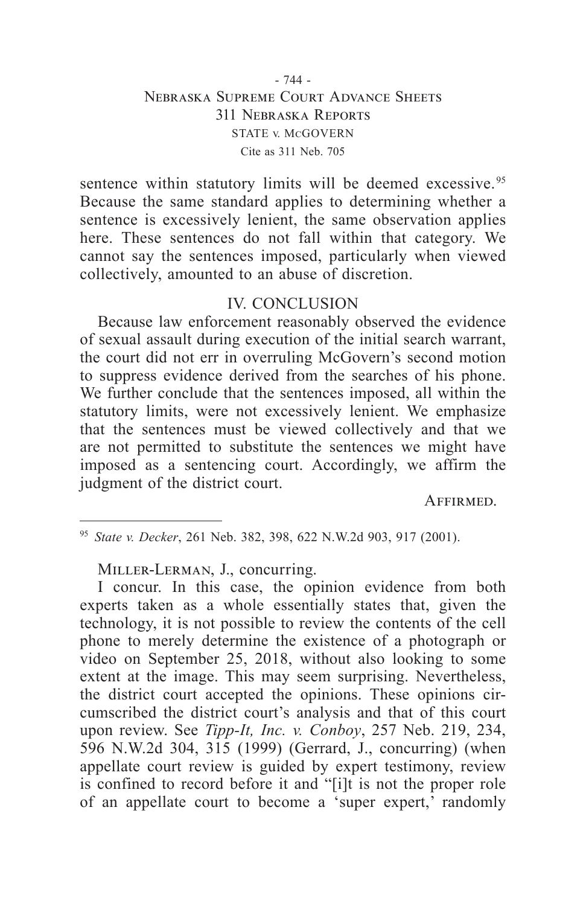## - 744 - Nebraska Supreme Court Advance Sheets 311 Nebraska Reports STATE v. McGOVERN Cite as 311 Neb. 705

sentence within statutory limits will be deemed excessive.<sup>95</sup> Because the same standard applies to determining whether a sentence is excessively lenient, the same observation applies here. These sentences do not fall within that category. We cannot say the sentences imposed, particularly when viewed collectively, amounted to an abuse of discretion.

## IV. CONCLUSION

Because law enforcement reasonably observed the evidence of sexual assault during execution of the initial search warrant, the court did not err in overruling McGovern's second motion to suppress evidence derived from the searches of his phone. We further conclude that the sentences imposed, all within the statutory limits, were not excessively lenient. We emphasize that the sentences must be viewed collectively and that we are not permitted to substitute the sentences we might have imposed as a sentencing court. Accordingly, we affirm the judgment of the district court.

Affirmed.

<sup>95</sup> *State v. Decker*, 261 Neb. 382, 398, 622 N.W.2d 903, 917 (2001).

Miller-Lerman, J., concurring.

I concur. In this case, the opinion evidence from both experts taken as a whole essentially states that, given the technology, it is not possible to review the contents of the cell phone to merely determine the existence of a photograph or video on September 25, 2018, without also looking to some extent at the image. This may seem surprising. Nevertheless, the district court accepted the opinions. These opinions circumscribed the district court's analysis and that of this court upon review. See *Tipp-It, Inc. v. Conboy*, 257 Neb. 219, 234, 596 N.W.2d 304, 315 (1999) (Gerrard, J., concurring) (when appellate court review is guided by expert testimony, review is confined to record before it and "[i]t is not the proper role of an appellate court to become a 'super expert,' randomly